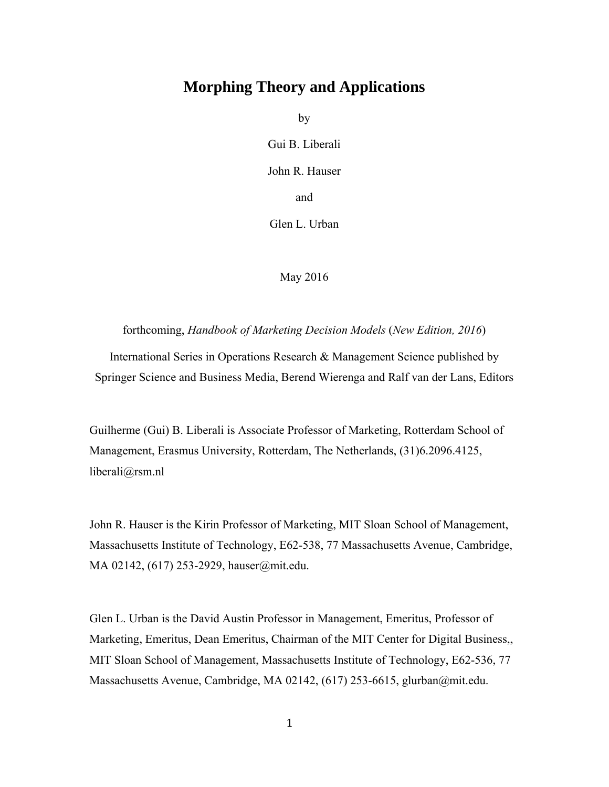# **Morphing Theory and Applications**

by

Gui B. Liberali

John R. Hauser

and

Glen L. Urban

## May 2016

forthcoming, *Handbook of Marketing Decision Models* (*New Edition, 2016*)

International Series in Operations Research & Management Science published by Springer Science and Business Media, Berend Wierenga and Ralf van der Lans, Editors

Guilherme (Gui) B. Liberali is Associate Professor of Marketing, Rotterdam School of Management, Erasmus University, Rotterdam, The Netherlands, (31)6.2096.4125, liberali@rsm.nl

John R. Hauser is the Kirin Professor of Marketing, MIT Sloan School of Management, Massachusetts Institute of Technology, E62-538, 77 Massachusetts Avenue, Cambridge, MA 02142, (617) 253-2929, hauser@mit.edu.

Glen L. Urban is the David Austin Professor in Management, Emeritus, Professor of Marketing, Emeritus, Dean Emeritus, Chairman of the MIT Center for Digital Business,, MIT Sloan School of Management, Massachusetts Institute of Technology, E62-536, 77 Massachusetts Avenue, Cambridge, MA 02142, (617) 253-6615, glurban@mit.edu.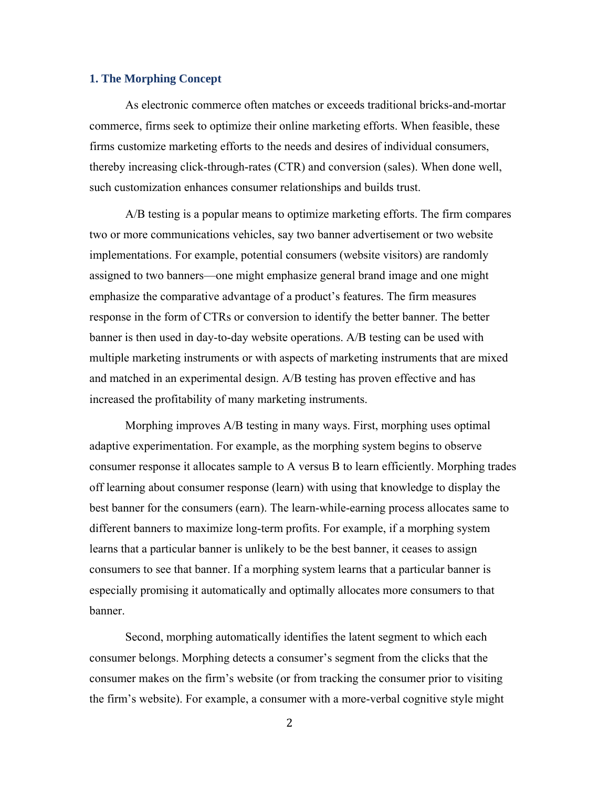## **1. The Morphing Concept**

As electronic commerce often matches or exceeds traditional bricks-and-mortar commerce, firms seek to optimize their online marketing efforts. When feasible, these firms customize marketing efforts to the needs and desires of individual consumers, thereby increasing click-through-rates (CTR) and conversion (sales). When done well, such customization enhances consumer relationships and builds trust.

A/B testing is a popular means to optimize marketing efforts. The firm compares two or more communications vehicles, say two banner advertisement or two website implementations. For example, potential consumers (website visitors) are randomly assigned to two banners—one might emphasize general brand image and one might emphasize the comparative advantage of a product's features. The firm measures response in the form of CTRs or conversion to identify the better banner. The better banner is then used in day-to-day website operations. A/B testing can be used with multiple marketing instruments or with aspects of marketing instruments that are mixed and matched in an experimental design. A/B testing has proven effective and has increased the profitability of many marketing instruments.

Morphing improves A/B testing in many ways. First, morphing uses optimal adaptive experimentation. For example, as the morphing system begins to observe consumer response it allocates sample to A versus B to learn efficiently. Morphing trades off learning about consumer response (learn) with using that knowledge to display the best banner for the consumers (earn). The learn-while-earning process allocates same to different banners to maximize long-term profits. For example, if a morphing system learns that a particular banner is unlikely to be the best banner, it ceases to assign consumers to see that banner. If a morphing system learns that a particular banner is especially promising it automatically and optimally allocates more consumers to that banner.

Second, morphing automatically identifies the latent segment to which each consumer belongs. Morphing detects a consumer's segment from the clicks that the consumer makes on the firm's website (or from tracking the consumer prior to visiting the firm's website). For example, a consumer with a more-verbal cognitive style might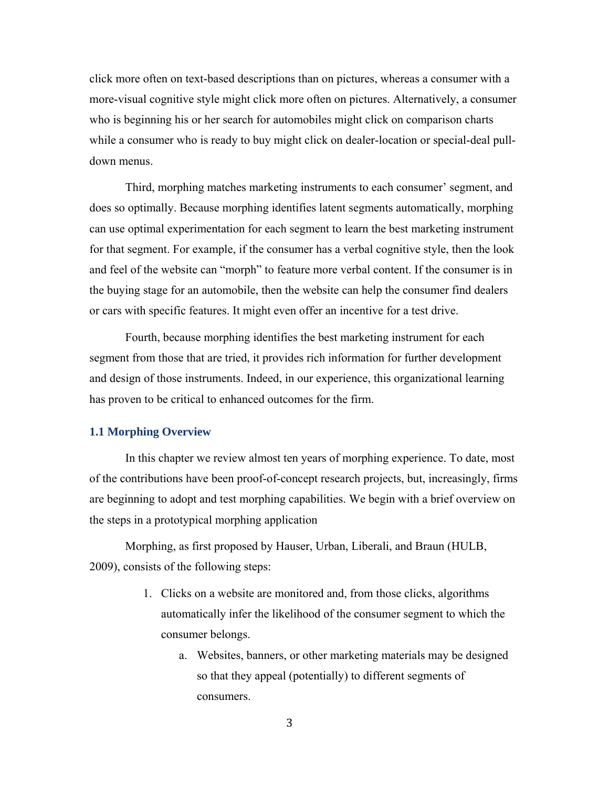click more often on text-based descriptions than on pictures, whereas a consumer with a more-visual cognitive style might click more often on pictures. Alternatively, a consumer who is beginning his or her search for automobiles might click on comparison charts while a consumer who is ready to buy might click on dealer-location or special-deal pulldown menus.

Third, morphing matches marketing instruments to each consumer' segment, and does so optimally. Because morphing identifies latent segments automatically, morphing can use optimal experimentation for each segment to learn the best marketing instrument for that segment. For example, if the consumer has a verbal cognitive style, then the look and feel of the website can "morph" to feature more verbal content. If the consumer is in the buying stage for an automobile, then the website can help the consumer find dealers or cars with specific features. It might even offer an incentive for a test drive.

Fourth, because morphing identifies the best marketing instrument for each segment from those that are tried, it provides rich information for further development and design of those instruments. Indeed, in our experience, this organizational learning has proven to be critical to enhanced outcomes for the firm.

## **1.1 Morphing Overview**

In this chapter we review almost ten years of morphing experience. To date, most of the contributions have been proof-of-concept research projects, but, increasingly, firms are beginning to adopt and test morphing capabilities. We begin with a brief overview on the steps in a prototypical morphing application

Morphing, as first proposed by Hauser, Urban, Liberali, and Braun (HULB, 2009), consists of the following steps:

- 1. Clicks on a website are monitored and, from those clicks, algorithms automatically infer the likelihood of the consumer segment to which the consumer belongs.
	- a. Websites, banners, or other marketing materials may be designed so that they appeal (potentially) to different segments of consumers.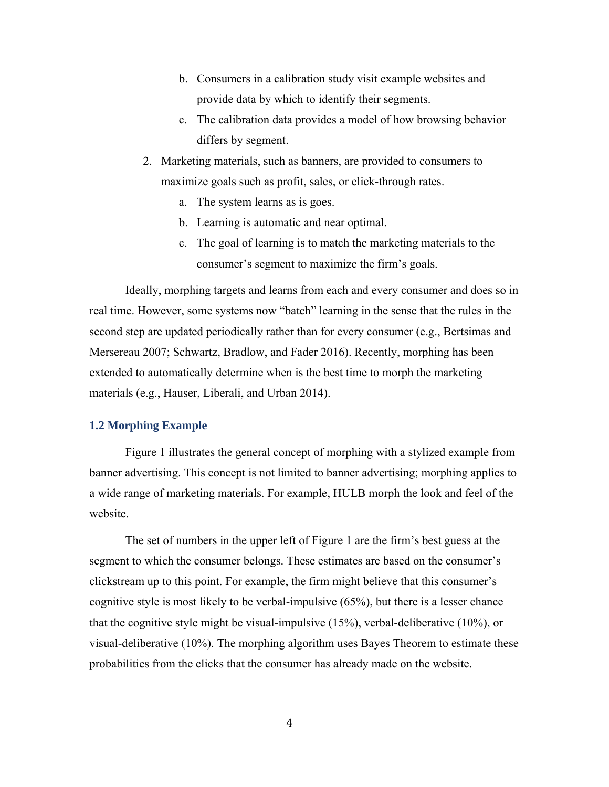- b. Consumers in a calibration study visit example websites and provide data by which to identify their segments.
- c. The calibration data provides a model of how browsing behavior differs by segment.
- 2. Marketing materials, such as banners, are provided to consumers to maximize goals such as profit, sales, or click-through rates.
	- a. The system learns as is goes.
	- b. Learning is automatic and near optimal.
	- c. The goal of learning is to match the marketing materials to the consumer's segment to maximize the firm's goals.

Ideally, morphing targets and learns from each and every consumer and does so in real time. However, some systems now "batch" learning in the sense that the rules in the second step are updated periodically rather than for every consumer (e.g., Bertsimas and Mersereau 2007; Schwartz, Bradlow, and Fader 2016). Recently, morphing has been extended to automatically determine when is the best time to morph the marketing materials (e.g., Hauser, Liberali, and Urban 2014).

## **1.2 Morphing Example**

Figure 1 illustrates the general concept of morphing with a stylized example from banner advertising. This concept is not limited to banner advertising; morphing applies to a wide range of marketing materials. For example, HULB morph the look and feel of the website.

The set of numbers in the upper left of Figure 1 are the firm's best guess at the segment to which the consumer belongs. These estimates are based on the consumer's clickstream up to this point. For example, the firm might believe that this consumer's cognitive style is most likely to be verbal-impulsive (65%), but there is a lesser chance that the cognitive style might be visual-impulsive (15%), verbal-deliberative (10%), or visual-deliberative (10%). The morphing algorithm uses Bayes Theorem to estimate these probabilities from the clicks that the consumer has already made on the website.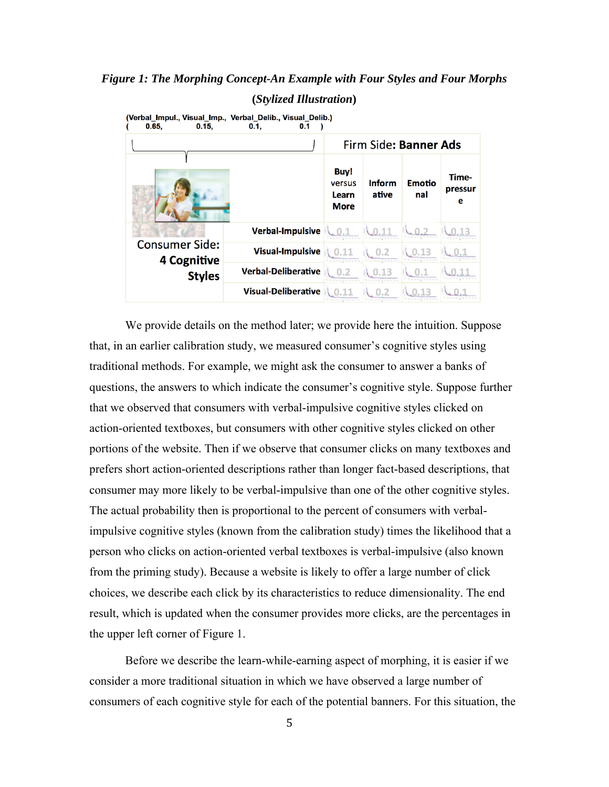# *Figure 1: The Morphing Concept-An Example with Four Styles and Four Morphs*  **(***Stylized Illustration***)**



We provide details on the method later; we provide here the intuition. Suppose that, in an earlier calibration study, we measured consumer's cognitive styles using traditional methods. For example, we might ask the consumer to answer a banks of questions, the answers to which indicate the consumer's cognitive style. Suppose further that we observed that consumers with verbal-impulsive cognitive styles clicked on action-oriented textboxes, but consumers with other cognitive styles clicked on other portions of the website. Then if we observe that consumer clicks on many textboxes and prefers short action-oriented descriptions rather than longer fact-based descriptions, that consumer may more likely to be verbal-impulsive than one of the other cognitive styles. The actual probability then is proportional to the percent of consumers with verbalimpulsive cognitive styles (known from the calibration study) times the likelihood that a person who clicks on action-oriented verbal textboxes is verbal-impulsive (also known from the priming study). Because a website is likely to offer a large number of click choices, we describe each click by its characteristics to reduce dimensionality. The end result, which is updated when the consumer provides more clicks, are the percentages in the upper left corner of Figure 1.

Before we describe the learn-while-earning aspect of morphing, it is easier if we consider a more traditional situation in which we have observed a large number of consumers of each cognitive style for each of the potential banners. For this situation, the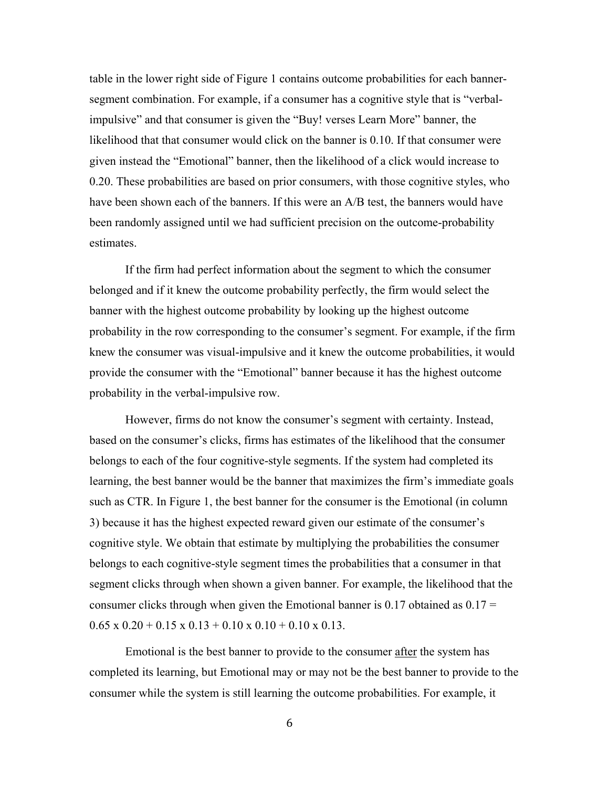table in the lower right side of Figure 1 contains outcome probabilities for each bannersegment combination. For example, if a consumer has a cognitive style that is "verbalimpulsive" and that consumer is given the "Buy! verses Learn More" banner, the likelihood that that consumer would click on the banner is 0.10. If that consumer were given instead the "Emotional" banner, then the likelihood of a click would increase to 0.20. These probabilities are based on prior consumers, with those cognitive styles, who have been shown each of the banners. If this were an A/B test, the banners would have been randomly assigned until we had sufficient precision on the outcome-probability estimates.

If the firm had perfect information about the segment to which the consumer belonged and if it knew the outcome probability perfectly, the firm would select the banner with the highest outcome probability by looking up the highest outcome probability in the row corresponding to the consumer's segment. For example, if the firm knew the consumer was visual-impulsive and it knew the outcome probabilities, it would provide the consumer with the "Emotional" banner because it has the highest outcome probability in the verbal-impulsive row.

However, firms do not know the consumer's segment with certainty. Instead, based on the consumer's clicks, firms has estimates of the likelihood that the consumer belongs to each of the four cognitive-style segments. If the system had completed its learning, the best banner would be the banner that maximizes the firm's immediate goals such as CTR. In Figure 1, the best banner for the consumer is the Emotional (in column 3) because it has the highest expected reward given our estimate of the consumer's cognitive style. We obtain that estimate by multiplying the probabilities the consumer belongs to each cognitive-style segment times the probabilities that a consumer in that segment clicks through when shown a given banner. For example, the likelihood that the consumer clicks through when given the Emotional banner is 0.17 obtained as  $0.17 =$  $0.65 \times 0.20 + 0.15 \times 0.13 + 0.10 \times 0.10 + 0.10 \times 0.13$ .

Emotional is the best banner to provide to the consumer after the system has completed its learning, but Emotional may or may not be the best banner to provide to the consumer while the system is still learning the outcome probabilities. For example, it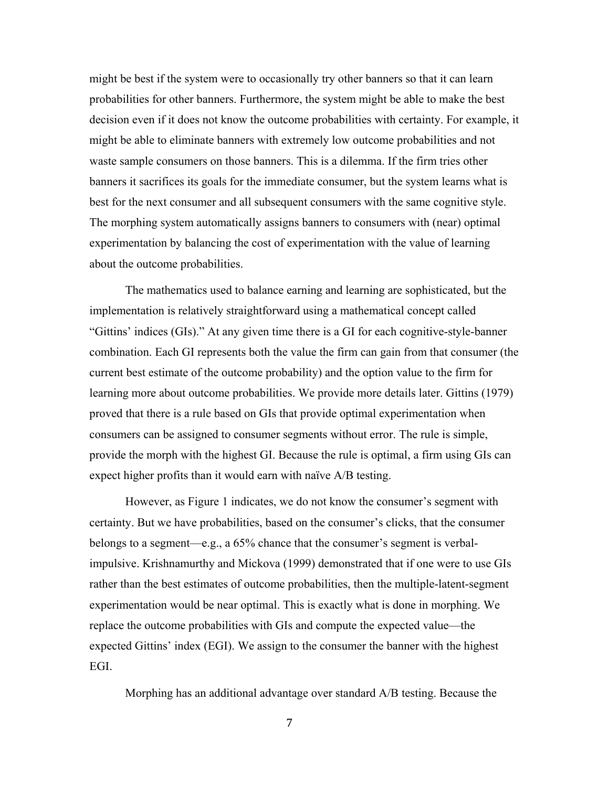might be best if the system were to occasionally try other banners so that it can learn probabilities for other banners. Furthermore, the system might be able to make the best decision even if it does not know the outcome probabilities with certainty. For example, it might be able to eliminate banners with extremely low outcome probabilities and not waste sample consumers on those banners. This is a dilemma. If the firm tries other banners it sacrifices its goals for the immediate consumer, but the system learns what is best for the next consumer and all subsequent consumers with the same cognitive style. The morphing system automatically assigns banners to consumers with (near) optimal experimentation by balancing the cost of experimentation with the value of learning about the outcome probabilities.

The mathematics used to balance earning and learning are sophisticated, but the implementation is relatively straightforward using a mathematical concept called "Gittins' indices (GIs)." At any given time there is a GI for each cognitive-style-banner combination. Each GI represents both the value the firm can gain from that consumer (the current best estimate of the outcome probability) and the option value to the firm for learning more about outcome probabilities. We provide more details later. Gittins (1979) proved that there is a rule based on GIs that provide optimal experimentation when consumers can be assigned to consumer segments without error. The rule is simple, provide the morph with the highest GI. Because the rule is optimal, a firm using GIs can expect higher profits than it would earn with naïve A/B testing.

However, as Figure 1 indicates, we do not know the consumer's segment with certainty. But we have probabilities, based on the consumer's clicks, that the consumer belongs to a segment—e.g., a 65% chance that the consumer's segment is verbalimpulsive. Krishnamurthy and Mickova (1999) demonstrated that if one were to use GIs rather than the best estimates of outcome probabilities, then the multiple-latent-segment experimentation would be near optimal. This is exactly what is done in morphing. We replace the outcome probabilities with GIs and compute the expected value—the expected Gittins' index (EGI). We assign to the consumer the banner with the highest EGI.

Morphing has an additional advantage over standard A/B testing. Because the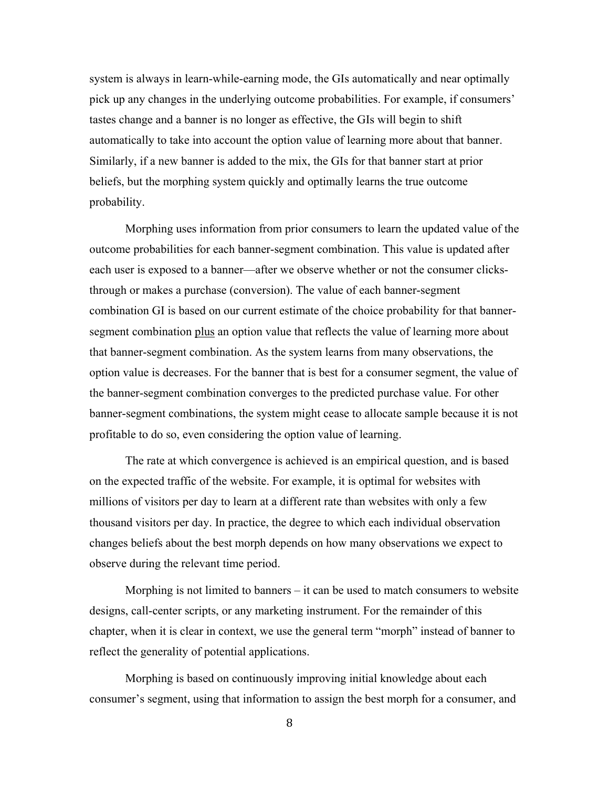system is always in learn-while-earning mode, the GIs automatically and near optimally pick up any changes in the underlying outcome probabilities. For example, if consumers' tastes change and a banner is no longer as effective, the GIs will begin to shift automatically to take into account the option value of learning more about that banner. Similarly, if a new banner is added to the mix, the GIs for that banner start at prior beliefs, but the morphing system quickly and optimally learns the true outcome probability.

Morphing uses information from prior consumers to learn the updated value of the outcome probabilities for each banner-segment combination. This value is updated after each user is exposed to a banner—after we observe whether or not the consumer clicksthrough or makes a purchase (conversion). The value of each banner-segment combination GI is based on our current estimate of the choice probability for that bannersegment combination plus an option value that reflects the value of learning more about that banner-segment combination. As the system learns from many observations, the option value is decreases. For the banner that is best for a consumer segment, the value of the banner-segment combination converges to the predicted purchase value. For other banner-segment combinations, the system might cease to allocate sample because it is not profitable to do so, even considering the option value of learning.

The rate at which convergence is achieved is an empirical question, and is based on the expected traffic of the website. For example, it is optimal for websites with millions of visitors per day to learn at a different rate than websites with only a few thousand visitors per day. In practice, the degree to which each individual observation changes beliefs about the best morph depends on how many observations we expect to observe during the relevant time period.

Morphing is not limited to banners – it can be used to match consumers to website designs, call-center scripts, or any marketing instrument. For the remainder of this chapter, when it is clear in context, we use the general term "morph" instead of banner to reflect the generality of potential applications.

Morphing is based on continuously improving initial knowledge about each consumer's segment, using that information to assign the best morph for a consumer, and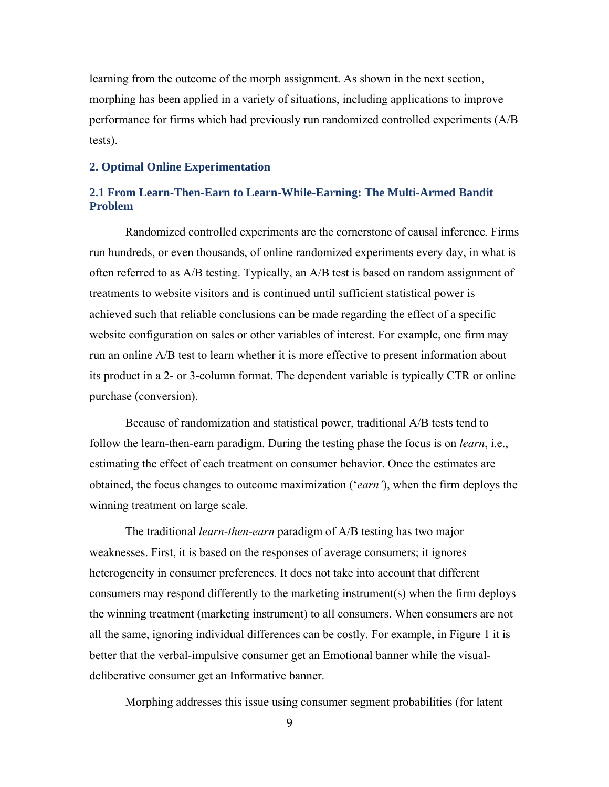learning from the outcome of the morph assignment. As shown in the next section, morphing has been applied in a variety of situations, including applications to improve performance for firms which had previously run randomized controlled experiments (A/B tests).

#### **2. Optimal Online Experimentation**

# **2.1 From Learn-Then-Earn to Learn-While-Earning: The Multi-Armed Bandit Problem**

Randomized controlled experiments are the cornerstone of causal inference*.* Firms run hundreds, or even thousands, of online randomized experiments every day, in what is often referred to as A/B testing. Typically, an A/B test is based on random assignment of treatments to website visitors and is continued until sufficient statistical power is achieved such that reliable conclusions can be made regarding the effect of a specific website configuration on sales or other variables of interest. For example, one firm may run an online A/B test to learn whether it is more effective to present information about its product in a 2- or 3-column format. The dependent variable is typically CTR or online purchase (conversion).

Because of randomization and statistical power, traditional A/B tests tend to follow the learn-then-earn paradigm. During the testing phase the focus is on *learn*, i.e., estimating the effect of each treatment on consumer behavior. Once the estimates are obtained, the focus changes to outcome maximization ('*earn'*), when the firm deploys the winning treatment on large scale.

The traditional *learn-then-earn* paradigm of A/B testing has two major weaknesses. First, it is based on the responses of average consumers; it ignores heterogeneity in consumer preferences. It does not take into account that different consumers may respond differently to the marketing instrument(s) when the firm deploys the winning treatment (marketing instrument) to all consumers. When consumers are not all the same, ignoring individual differences can be costly. For example, in Figure 1 it is better that the verbal-impulsive consumer get an Emotional banner while the visualdeliberative consumer get an Informative banner.

Morphing addresses this issue using consumer segment probabilities (for latent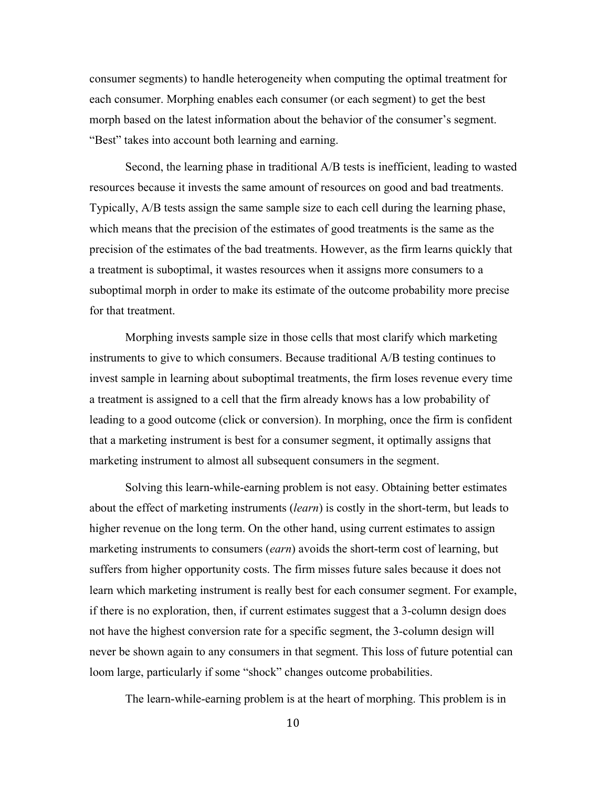consumer segments) to handle heterogeneity when computing the optimal treatment for each consumer. Morphing enables each consumer (or each segment) to get the best morph based on the latest information about the behavior of the consumer's segment. "Best" takes into account both learning and earning.

Second, the learning phase in traditional A/B tests is inefficient, leading to wasted resources because it invests the same amount of resources on good and bad treatments. Typically, A/B tests assign the same sample size to each cell during the learning phase, which means that the precision of the estimates of good treatments is the same as the precision of the estimates of the bad treatments. However, as the firm learns quickly that a treatment is suboptimal, it wastes resources when it assigns more consumers to a suboptimal morph in order to make its estimate of the outcome probability more precise for that treatment.

Morphing invests sample size in those cells that most clarify which marketing instruments to give to which consumers. Because traditional A/B testing continues to invest sample in learning about suboptimal treatments, the firm loses revenue every time a treatment is assigned to a cell that the firm already knows has a low probability of leading to a good outcome (click or conversion). In morphing, once the firm is confident that a marketing instrument is best for a consumer segment, it optimally assigns that marketing instrument to almost all subsequent consumers in the segment.

Solving this learn-while-earning problem is not easy. Obtaining better estimates about the effect of marketing instruments (*learn*) is costly in the short-term, but leads to higher revenue on the long term. On the other hand, using current estimates to assign marketing instruments to consumers (*earn*) avoids the short-term cost of learning, but suffers from higher opportunity costs. The firm misses future sales because it does not learn which marketing instrument is really best for each consumer segment. For example, if there is no exploration, then, if current estimates suggest that a 3-column design does not have the highest conversion rate for a specific segment, the 3-column design will never be shown again to any consumers in that segment. This loss of future potential can loom large, particularly if some "shock" changes outcome probabilities.

The learn-while-earning problem is at the heart of morphing. This problem is in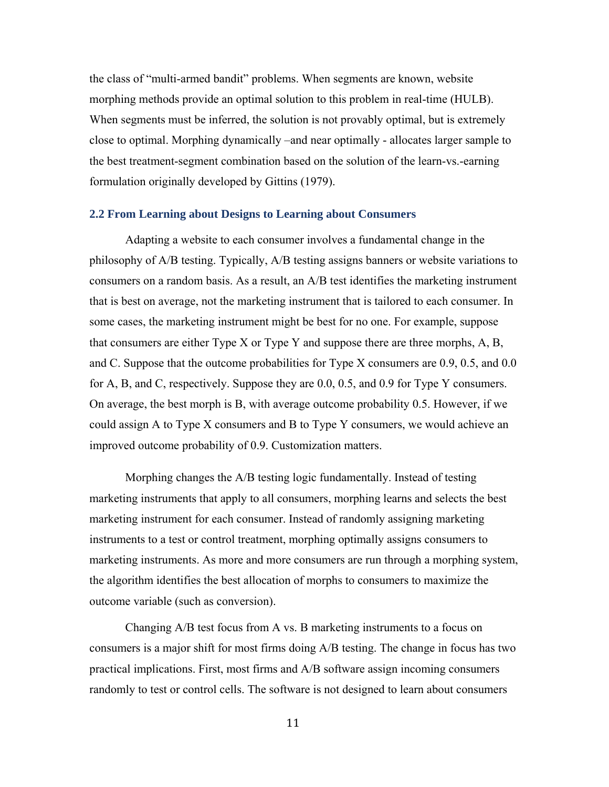the class of "multi-armed bandit" problems. When segments are known, website morphing methods provide an optimal solution to this problem in real-time (HULB). When segments must be inferred, the solution is not provably optimal, but is extremely close to optimal. Morphing dynamically –and near optimally - allocates larger sample to the best treatment-segment combination based on the solution of the learn-vs.-earning formulation originally developed by Gittins (1979).

# **2.2 From Learning about Designs to Learning about Consumers**

Adapting a website to each consumer involves a fundamental change in the philosophy of A/B testing. Typically, A/B testing assigns banners or website variations to consumers on a random basis. As a result, an A/B test identifies the marketing instrument that is best on average, not the marketing instrument that is tailored to each consumer. In some cases, the marketing instrument might be best for no one. For example, suppose that consumers are either Type X or Type Y and suppose there are three morphs, A, B, and C. Suppose that the outcome probabilities for Type X consumers are 0.9, 0.5, and 0.0 for A, B, and C, respectively. Suppose they are 0.0, 0.5, and 0.9 for Type Y consumers. On average, the best morph is B, with average outcome probability 0.5. However, if we could assign A to Type X consumers and B to Type Y consumers, we would achieve an improved outcome probability of 0.9. Customization matters.

Morphing changes the A/B testing logic fundamentally. Instead of testing marketing instruments that apply to all consumers, morphing learns and selects the best marketing instrument for each consumer. Instead of randomly assigning marketing instruments to a test or control treatment, morphing optimally assigns consumers to marketing instruments. As more and more consumers are run through a morphing system, the algorithm identifies the best allocation of morphs to consumers to maximize the outcome variable (such as conversion).

Changing A/B test focus from A vs. B marketing instruments to a focus on consumers is a major shift for most firms doing A/B testing. The change in focus has two practical implications. First, most firms and A/B software assign incoming consumers randomly to test or control cells. The software is not designed to learn about consumers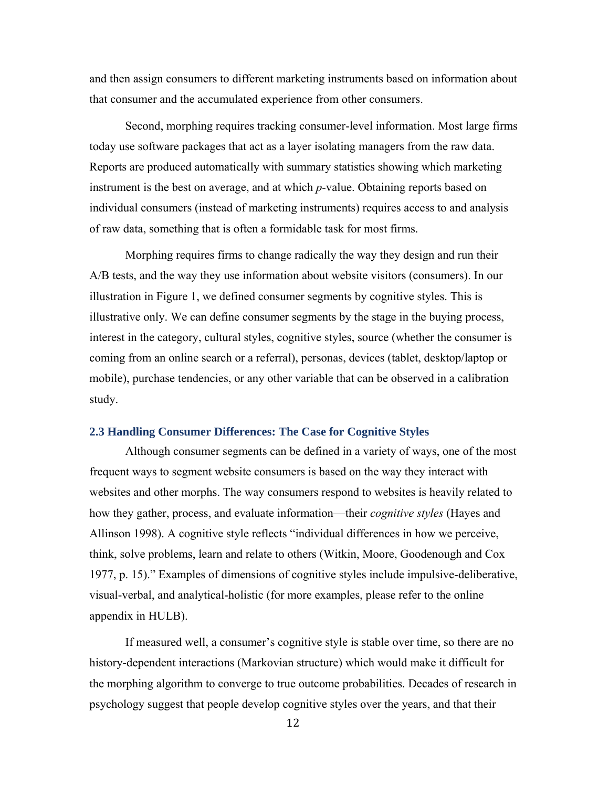and then assign consumers to different marketing instruments based on information about that consumer and the accumulated experience from other consumers.

Second, morphing requires tracking consumer-level information. Most large firms today use software packages that act as a layer isolating managers from the raw data. Reports are produced automatically with summary statistics showing which marketing instrument is the best on average, and at which *p*-value. Obtaining reports based on individual consumers (instead of marketing instruments) requires access to and analysis of raw data, something that is often a formidable task for most firms.

Morphing requires firms to change radically the way they design and run their A/B tests, and the way they use information about website visitors (consumers). In our illustration in Figure 1, we defined consumer segments by cognitive styles. This is illustrative only. We can define consumer segments by the stage in the buying process, interest in the category, cultural styles, cognitive styles, source (whether the consumer is coming from an online search or a referral), personas, devices (tablet, desktop/laptop or mobile), purchase tendencies, or any other variable that can be observed in a calibration study.

#### **2.3 Handling Consumer Differences: The Case for Cognitive Styles**

Although consumer segments can be defined in a variety of ways, one of the most frequent ways to segment website consumers is based on the way they interact with websites and other morphs. The way consumers respond to websites is heavily related to how they gather, process, and evaluate information—their *cognitive styles* (Hayes and Allinson 1998). A cognitive style reflects "individual differences in how we perceive, think, solve problems, learn and relate to others (Witkin, Moore, Goodenough and Cox 1977, p. 15)." Examples of dimensions of cognitive styles include impulsive-deliberative, visual-verbal, and analytical-holistic (for more examples, please refer to the online appendix in HULB).

If measured well, a consumer's cognitive style is stable over time, so there are no history-dependent interactions (Markovian structure) which would make it difficult for the morphing algorithm to converge to true outcome probabilities. Decades of research in psychology suggest that people develop cognitive styles over the years, and that their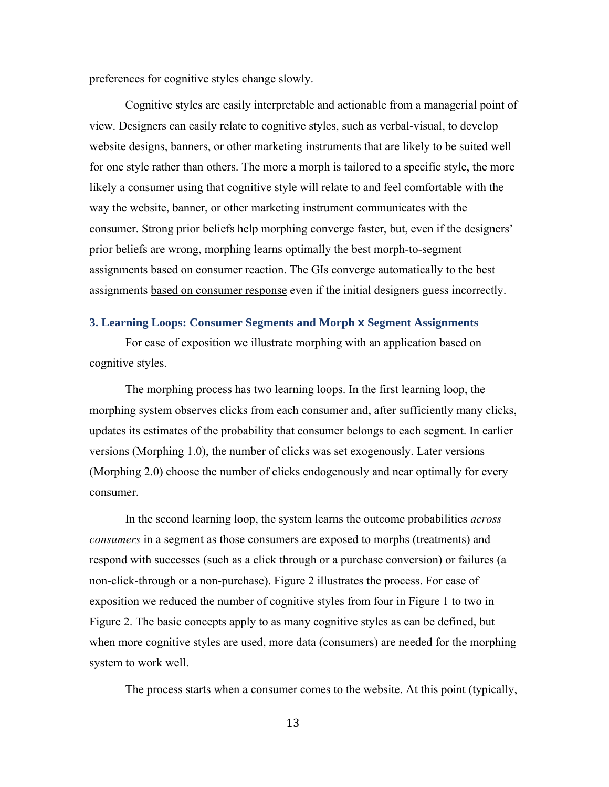preferences for cognitive styles change slowly.

Cognitive styles are easily interpretable and actionable from a managerial point of view. Designers can easily relate to cognitive styles, such as verbal-visual, to develop website designs, banners, or other marketing instruments that are likely to be suited well for one style rather than others. The more a morph is tailored to a specific style, the more likely a consumer using that cognitive style will relate to and feel comfortable with the way the website, banner, or other marketing instrument communicates with the consumer. Strong prior beliefs help morphing converge faster, but, even if the designers' prior beliefs are wrong, morphing learns optimally the best morph-to-segment assignments based on consumer reaction. The GIs converge automatically to the best assignments based on consumer response even if the initial designers guess incorrectly.

### **3. Learning Loops: Consumer Segments and Morph x Segment Assignments**

For ease of exposition we illustrate morphing with an application based on cognitive styles.

The morphing process has two learning loops. In the first learning loop, the morphing system observes clicks from each consumer and, after sufficiently many clicks, updates its estimates of the probability that consumer belongs to each segment. In earlier versions (Morphing 1.0), the number of clicks was set exogenously. Later versions (Morphing 2.0) choose the number of clicks endogenously and near optimally for every consumer.

In the second learning loop, the system learns the outcome probabilities *across consumers* in a segment as those consumers are exposed to morphs (treatments) and respond with successes (such as a click through or a purchase conversion) or failures (a non-click-through or a non-purchase). Figure 2 illustrates the process. For ease of exposition we reduced the number of cognitive styles from four in Figure 1 to two in Figure 2. The basic concepts apply to as many cognitive styles as can be defined, but when more cognitive styles are used, more data (consumers) are needed for the morphing system to work well.

The process starts when a consumer comes to the website. At this point (typically,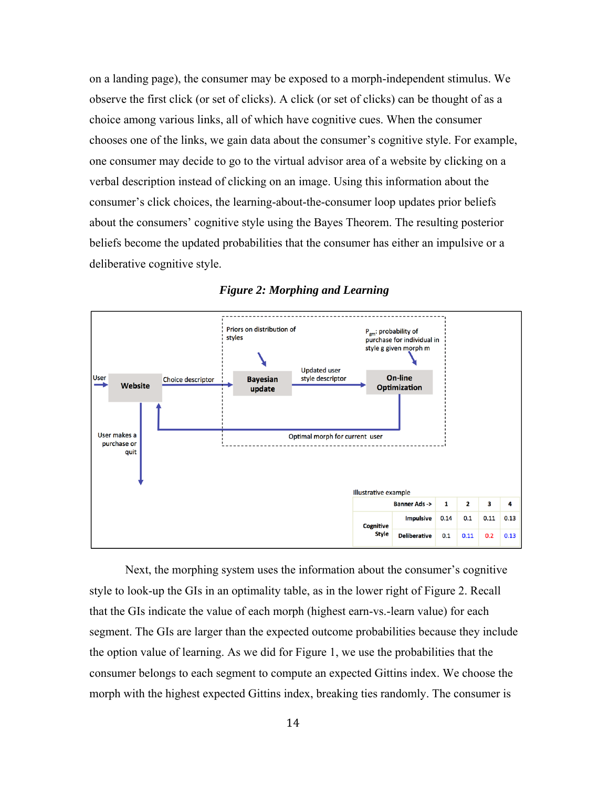on a landing page), the consumer may be exposed to a morph-independent stimulus. We observe the first click (or set of clicks). A click (or set of clicks) can be thought of as a choice among various links, all of which have cognitive cues. When the consumer chooses one of the links, we gain data about the consumer's cognitive style. For example, one consumer may decide to go to the virtual advisor area of a website by clicking on a verbal description instead of clicking on an image. Using this information about the consumer's click choices, the learning-about-the-consumer loop updates prior beliefs about the consumers' cognitive style using the Bayes Theorem. The resulting posterior beliefs become the updated probabilities that the consumer has either an impulsive or a deliberative cognitive style.

|  |  | <b>Figure 2: Morphing and Learning</b> |
|--|--|----------------------------------------|
|--|--|----------------------------------------|

Next, the morphing system uses the information about the consumer's cognitive style to look-up the GIs in an optimality table, as in the lower right of Figure 2. Recall that the GIs indicate the value of each morph (highest earn-vs.-learn value) for each segment. The GIs are larger than the expected outcome probabilities because they include the option value of learning. As we did for Figure 1, we use the probabilities that the consumer belongs to each segment to compute an expected Gittins index. We choose the morph with the highest expected Gittins index, breaking ties randomly. The consumer is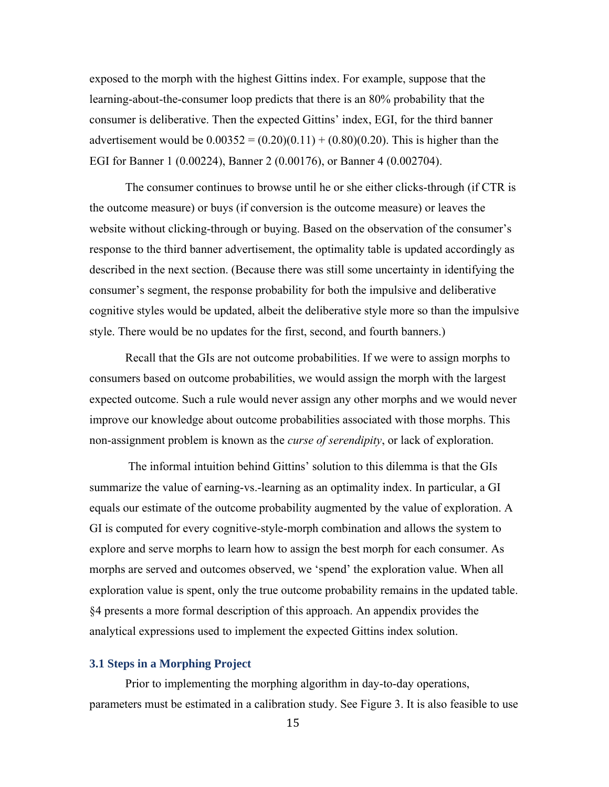exposed to the morph with the highest Gittins index. For example, suppose that the learning-about-the-consumer loop predicts that there is an 80% probability that the consumer is deliberative. Then the expected Gittins' index, EGI, for the third banner advertisement would be  $0.00352 = (0.20)(0.11) + (0.80)(0.20)$ . This is higher than the EGI for Banner 1 (0.00224), Banner 2 (0.00176), or Banner 4 (0.002704).

The consumer continues to browse until he or she either clicks-through (if CTR is the outcome measure) or buys (if conversion is the outcome measure) or leaves the website without clicking-through or buying. Based on the observation of the consumer's response to the third banner advertisement, the optimality table is updated accordingly as described in the next section. (Because there was still some uncertainty in identifying the consumer's segment, the response probability for both the impulsive and deliberative cognitive styles would be updated, albeit the deliberative style more so than the impulsive style. There would be no updates for the first, second, and fourth banners.)

Recall that the GIs are not outcome probabilities. If we were to assign morphs to consumers based on outcome probabilities, we would assign the morph with the largest expected outcome. Such a rule would never assign any other morphs and we would never improve our knowledge about outcome probabilities associated with those morphs. This non-assignment problem is known as the *curse of serendipity*, or lack of exploration.

 The informal intuition behind Gittins' solution to this dilemma is that the GIs summarize the value of earning-vs.-learning as an optimality index. In particular, a GI equals our estimate of the outcome probability augmented by the value of exploration. A GI is computed for every cognitive-style-morph combination and allows the system to explore and serve morphs to learn how to assign the best morph for each consumer. As morphs are served and outcomes observed, we 'spend' the exploration value. When all exploration value is spent, only the true outcome probability remains in the updated table. §4 presents a more formal description of this approach. An appendix provides the analytical expressions used to implement the expected Gittins index solution.

#### **3.1 Steps in a Morphing Project**

Prior to implementing the morphing algorithm in day-to-day operations, parameters must be estimated in a calibration study. See Figure 3. It is also feasible to use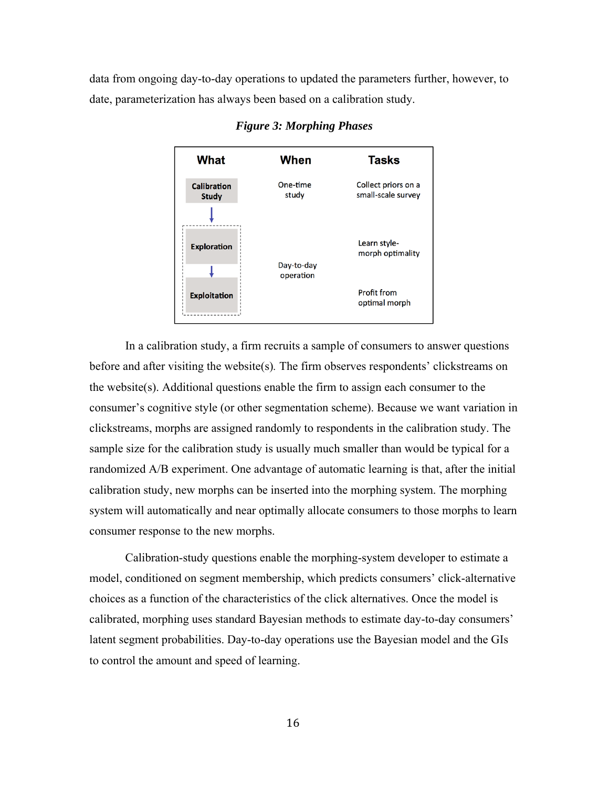data from ongoing day-to-day operations to updated the parameters further, however, to date, parameterization has always been based on a calibration study.



*Figure 3: Morphing Phases* 

In a calibration study, a firm recruits a sample of consumers to answer questions before and after visiting the website(s)*.* The firm observes respondents' clickstreams on the website(s). Additional questions enable the firm to assign each consumer to the consumer's cognitive style (or other segmentation scheme). Because we want variation in clickstreams, morphs are assigned randomly to respondents in the calibration study. The sample size for the calibration study is usually much smaller than would be typical for a randomized A/B experiment. One advantage of automatic learning is that, after the initial calibration study, new morphs can be inserted into the morphing system. The morphing system will automatically and near optimally allocate consumers to those morphs to learn consumer response to the new morphs.

Calibration-study questions enable the morphing-system developer to estimate a model, conditioned on segment membership, which predicts consumers' click-alternative choices as a function of the characteristics of the click alternatives. Once the model is calibrated, morphing uses standard Bayesian methods to estimate day-to-day consumers' latent segment probabilities. Day-to-day operations use the Bayesian model and the GIs to control the amount and speed of learning.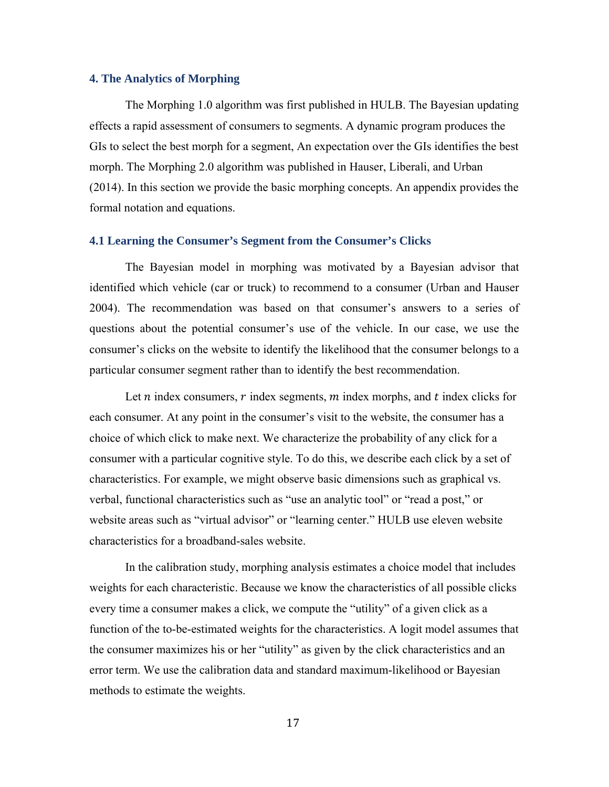## **4. The Analytics of Morphing**

The Morphing 1.0 algorithm was first published in HULB. The Bayesian updating effects a rapid assessment of consumers to segments. A dynamic program produces the GIs to select the best morph for a segment, An expectation over the GIs identifies the best morph. The Morphing 2.0 algorithm was published in Hauser, Liberali, and Urban (2014). In this section we provide the basic morphing concepts. An appendix provides the formal notation and equations.

# **4.1 Learning the Consumer's Segment from the Consumer's Clicks**

The Bayesian model in morphing was motivated by a Bayesian advisor that identified which vehicle (car or truck) to recommend to a consumer (Urban and Hauser 2004). The recommendation was based on that consumer's answers to a series of questions about the potential consumer's use of the vehicle. In our case, we use the consumer's clicks on the website to identify the likelihood that the consumer belongs to a particular consumer segment rather than to identify the best recommendation.

Let  $n$  index consumers,  $r$  index segments,  $m$  index morphs, and  $t$  index clicks for each consumer. At any point in the consumer's visit to the website, the consumer has a choice of which click to make next. We characterize the probability of any click for a consumer with a particular cognitive style. To do this, we describe each click by a set of characteristics. For example, we might observe basic dimensions such as graphical vs. verbal, functional characteristics such as "use an analytic tool" or "read a post," or website areas such as "virtual advisor" or "learning center." HULB use eleven website characteristics for a broadband-sales website.

In the calibration study, morphing analysis estimates a choice model that includes weights for each characteristic. Because we know the characteristics of all possible clicks every time a consumer makes a click, we compute the "utility" of a given click as a function of the to-be-estimated weights for the characteristics. A logit model assumes that the consumer maximizes his or her "utility" as given by the click characteristics and an error term. We use the calibration data and standard maximum-likelihood or Bayesian methods to estimate the weights.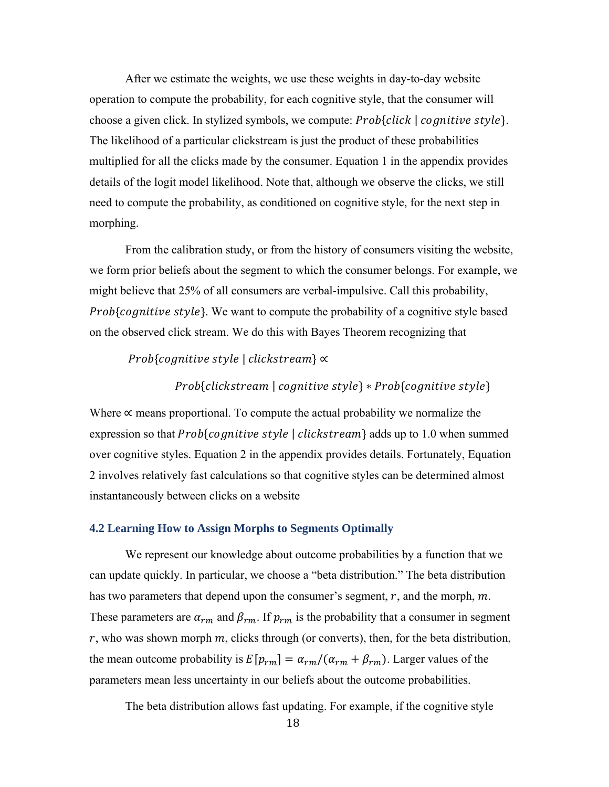After we estimate the weights, we use these weights in day-to-day website operation to compute the probability, for each cognitive style, that the consumer will choose a given click. In stylized symbols, we compute: *Prob{click | cognitive style*}. The likelihood of a particular clickstream is just the product of these probabilities multiplied for all the clicks made by the consumer. Equation 1 in the appendix provides details of the logit model likelihood. Note that, although we observe the clicks, we still need to compute the probability, as conditioned on cognitive style, for the next step in morphing.

From the calibration study, or from the history of consumers visiting the website, we form prior beliefs about the segment to which the consumer belongs. For example, we might believe that 25% of all consumers are verbal-impulsive. Call this probability, *Prob{cognitive style}*. We want to compute the probability of a cognitive style based on the observed click stream. We do this with Bayes Theorem recognizing that

# Prob{cognitive style | clickstream}  $\propto$

#### Prob{clickstream | cognitive style} \* Prob{cognitive style}

Where  $\alpha$  means proportional. To compute the actual probability we normalize the expression so that  $Prob\{cognitive style | clickstream\}$  adds up to 1.0 when summed over cognitive styles. Equation 2 in the appendix provides details. Fortunately, Equation 2 involves relatively fast calculations so that cognitive styles can be determined almost instantaneously between clicks on a website

#### **4.2 Learning How to Assign Morphs to Segments Optimally**

We represent our knowledge about outcome probabilities by a function that we can update quickly. In particular, we choose a "beta distribution." The beta distribution has two parameters that depend upon the consumer's segment,  $r$ , and the morph,  $m$ . These parameters are  $\alpha_{rm}$  and  $\beta_{rm}$ . If  $p_{rm}$  is the probability that a consumer in segment  $r$ , who was shown morph  $m$ , clicks through (or converts), then, for the beta distribution, the mean outcome probability is  $E[p_{rm}] = \alpha_{rm}/(\alpha_{rm} + \beta_{rm})$ . Larger values of the parameters mean less uncertainty in our beliefs about the outcome probabilities.

The beta distribution allows fast updating. For example, if the cognitive style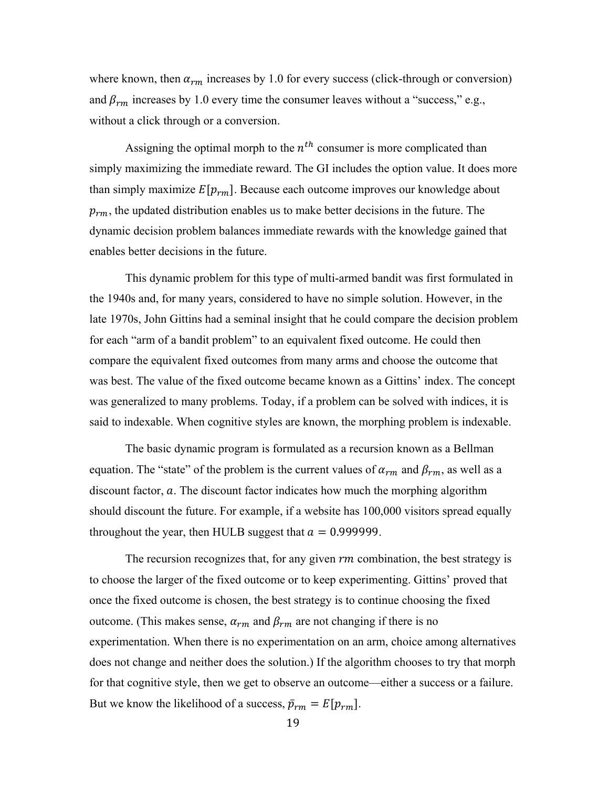where known, then  $\alpha_{rm}$  increases by 1.0 for every success (click-through or conversion) and  $\beta_{rm}$  increases by 1.0 every time the consumer leaves without a "success," e.g., without a click through or a conversion.

Assigning the optimal morph to the  $n<sup>th</sup>$  consumer is more complicated than simply maximizing the immediate reward. The GI includes the option value. It does more than simply maximize  $E[p_{rm}]$ . Because each outcome improves our knowledge about  $p_{rm}$ , the updated distribution enables us to make better decisions in the future. The dynamic decision problem balances immediate rewards with the knowledge gained that enables better decisions in the future.

 This dynamic problem for this type of multi-armed bandit was first formulated in the 1940s and, for many years, considered to have no simple solution. However, in the late 1970s, John Gittins had a seminal insight that he could compare the decision problem for each "arm of a bandit problem" to an equivalent fixed outcome. He could then compare the equivalent fixed outcomes from many arms and choose the outcome that was best. The value of the fixed outcome became known as a Gittins' index. The concept was generalized to many problems. Today, if a problem can be solved with indices, it is said to indexable. When cognitive styles are known, the morphing problem is indexable.

 The basic dynamic program is formulated as a recursion known as a Bellman equation. The "state" of the problem is the current values of  $\alpha_{rm}$  and  $\beta_{rm}$ , as well as a discount factor,  $a$ . The discount factor indicates how much the morphing algorithm should discount the future. For example, if a website has 100,000 visitors spread equally throughout the year, then HULB suggest that  $a = 0.9999999$ .

The recursion recognizes that, for any given  $rm$  combination, the best strategy is to choose the larger of the fixed outcome or to keep experimenting. Gittins' proved that once the fixed outcome is chosen, the best strategy is to continue choosing the fixed outcome. (This makes sense,  $\alpha_{rm}$  and  $\beta_{rm}$  are not changing if there is no experimentation. When there is no experimentation on an arm, choice among alternatives does not change and neither does the solution.) If the algorithm chooses to try that morph for that cognitive style, then we get to observe an outcome—either a success or a failure. But we know the likelihood of a success,  $\bar{p}_{rm} = E[p_{rm}].$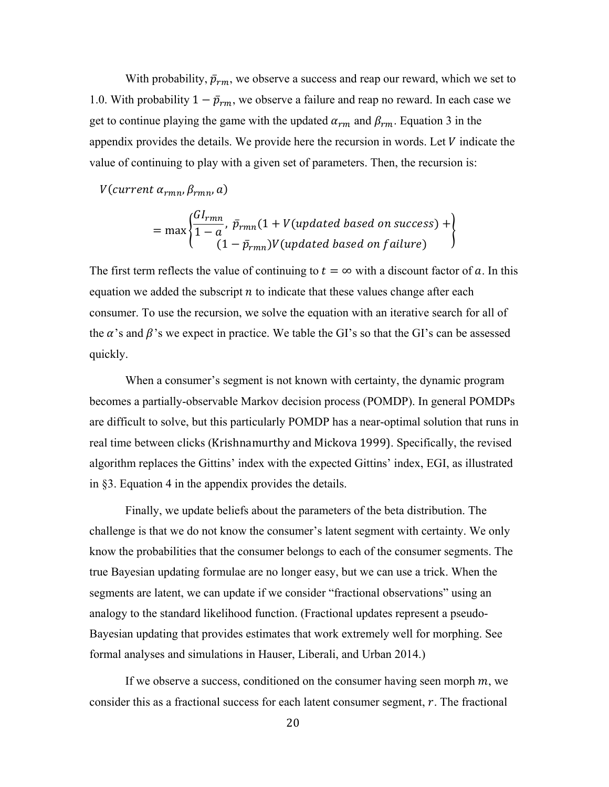With probability,  $\bar{p}_{rm}$ , we observe a success and reap our reward, which we set to 1.0. With probability  $1 - \bar{p}_{rm}$ , we observe a failure and reap no reward. In each case we get to continue playing the game with the updated  $\alpha_{rm}$  and  $\beta_{rm}$ . Equation 3 in the appendix provides the details. We provide here the recursion in words. Let  $V$  indicate the value of continuing to play with a given set of parameters. Then, the recursion is:

 $V$ (current  $\alpha_{rmn}$ ,  $\beta_{rmn}$ , a)

$$
= \max \begin{cases} \frac{GI_{rmn}}{1-a}, \ \bar{p}_{rmn}(1+V(\text{updated based on success}) + \\ \qquad (1-\bar{p}_{rmn})V(\text{updated based on failure}) \end{cases}
$$

ൡ

The first term reflects the value of continuing to  $t = \infty$  with a discount factor of a. In this equation we added the subscript  $n$  to indicate that these values change after each consumer. To use the recursion, we solve the equation with an iterative search for all of the  $\alpha$ 's and  $\beta$ 's we expect in practice. We table the GI's so that the GI's can be assessed quickly.

When a consumer's segment is not known with certainty, the dynamic program becomes a partially-observable Markov decision process (POMDP). In general POMDPs are difficult to solve, but this particularly POMDP has a near-optimal solution that runs in real time between clicks (Krishnamurthy and Mickova 1999). Specifically, the revised algorithm replaces the Gittins' index with the expected Gittins' index, EGI, as illustrated in §3. Equation 4 in the appendix provides the details.

Finally, we update beliefs about the parameters of the beta distribution. The challenge is that we do not know the consumer's latent segment with certainty. We only know the probabilities that the consumer belongs to each of the consumer segments. The true Bayesian updating formulae are no longer easy, but we can use a trick. When the segments are latent, we can update if we consider "fractional observations" using an analogy to the standard likelihood function. (Fractional updates represent a pseudo-Bayesian updating that provides estimates that work extremely well for morphing. See formal analyses and simulations in Hauser, Liberali, and Urban 2014.)

If we observe a success, conditioned on the consumer having seen morph  $m$ , we consider this as a fractional success for each latent consumer segment,  $r$ . The fractional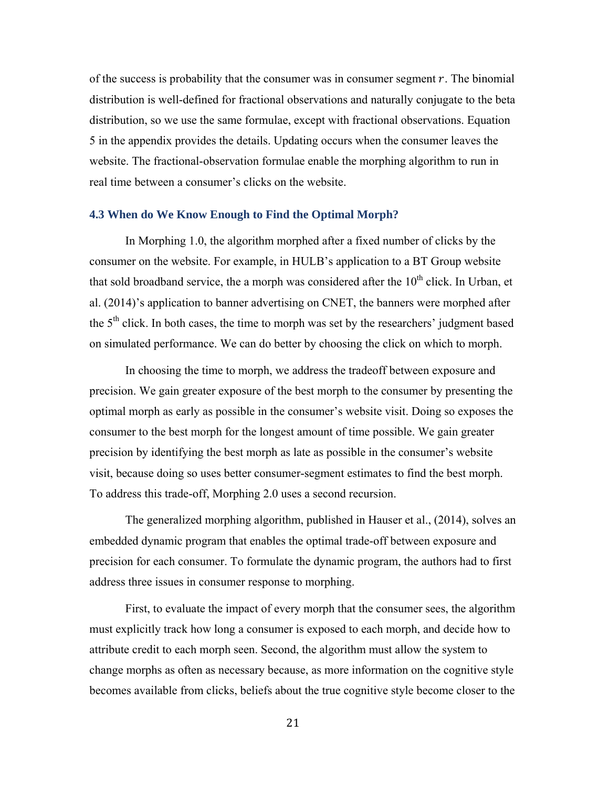of the success is probability that the consumer was in consumer segment  $r$ . The binomial distribution is well-defined for fractional observations and naturally conjugate to the beta distribution, so we use the same formulae, except with fractional observations. Equation 5 in the appendix provides the details. Updating occurs when the consumer leaves the website. The fractional-observation formulae enable the morphing algorithm to run in real time between a consumer's clicks on the website.

## **4.3 When do We Know Enough to Find the Optimal Morph?**

In Morphing 1.0, the algorithm morphed after a fixed number of clicks by the consumer on the website. For example, in HULB's application to a BT Group website that sold broadband service, the a morph was considered after the  $10<sup>th</sup>$  click. In Urban, et al. (2014)'s application to banner advertising on CNET, the banners were morphed after the  $5<sup>th</sup>$  click. In both cases, the time to morph was set by the researchers' judgment based on simulated performance. We can do better by choosing the click on which to morph.

In choosing the time to morph, we address the tradeoff between exposure and precision. We gain greater exposure of the best morph to the consumer by presenting the optimal morph as early as possible in the consumer's website visit. Doing so exposes the consumer to the best morph for the longest amount of time possible. We gain greater precision by identifying the best morph as late as possible in the consumer's website visit, because doing so uses better consumer-segment estimates to find the best morph. To address this trade-off, Morphing 2.0 uses a second recursion.

The generalized morphing algorithm, published in Hauser et al., (2014), solves an embedded dynamic program that enables the optimal trade-off between exposure and precision for each consumer. To formulate the dynamic program, the authors had to first address three issues in consumer response to morphing.

First, to evaluate the impact of every morph that the consumer sees, the algorithm must explicitly track how long a consumer is exposed to each morph, and decide how to attribute credit to each morph seen. Second, the algorithm must allow the system to change morphs as often as necessary because, as more information on the cognitive style becomes available from clicks, beliefs about the true cognitive style become closer to the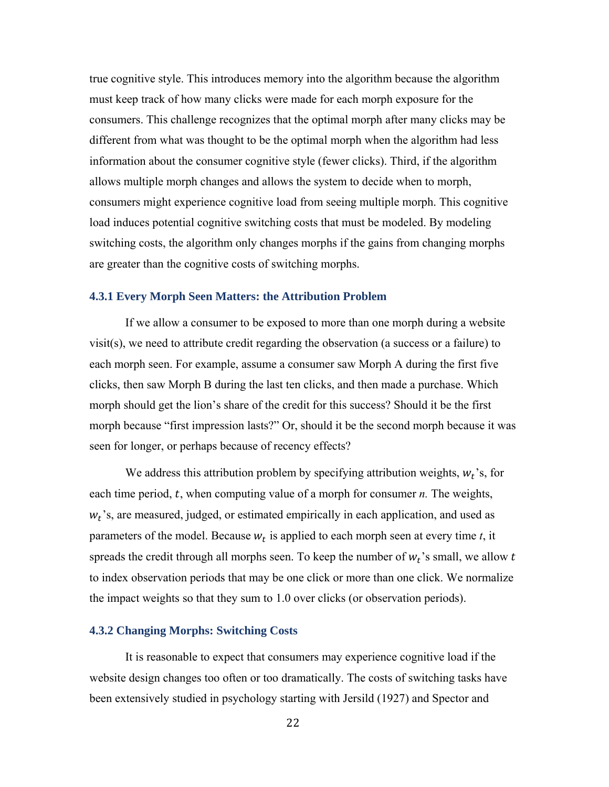true cognitive style. This introduces memory into the algorithm because the algorithm must keep track of how many clicks were made for each morph exposure for the consumers. This challenge recognizes that the optimal morph after many clicks may be different from what was thought to be the optimal morph when the algorithm had less information about the consumer cognitive style (fewer clicks). Third, if the algorithm allows multiple morph changes and allows the system to decide when to morph, consumers might experience cognitive load from seeing multiple morph. This cognitive load induces potential cognitive switching costs that must be modeled. By modeling switching costs, the algorithm only changes morphs if the gains from changing morphs are greater than the cognitive costs of switching morphs.

#### **4.3.1 Every Morph Seen Matters: the Attribution Problem**

If we allow a consumer to be exposed to more than one morph during a website visit(s), we need to attribute credit regarding the observation (a success or a failure) to each morph seen. For example, assume a consumer saw Morph A during the first five clicks, then saw Morph B during the last ten clicks, and then made a purchase. Which morph should get the lion's share of the credit for this success? Should it be the first morph because "first impression lasts?" Or, should it be the second morph because it was seen for longer, or perhaps because of recency effects?

We address this attribution problem by specifying attribution weights,  $w_t$ 's, for each time period,  $t$ , when computing value of a morph for consumer  $n$ . The weights,  $w_t$ 's, are measured, judged, or estimated empirically in each application, and used as parameters of the model. Because  $w_t$  is applied to each morph seen at every time  $t$ , it spreads the credit through all morphs seen. To keep the number of  $w_t$ 's small, we allow t to index observation periods that may be one click or more than one click. We normalize the impact weights so that they sum to 1.0 over clicks (or observation periods).

### **4.3.2 Changing Morphs: Switching Costs**

It is reasonable to expect that consumers may experience cognitive load if the website design changes too often or too dramatically. The costs of switching tasks have been extensively studied in psychology starting with Jersild (1927) and Spector and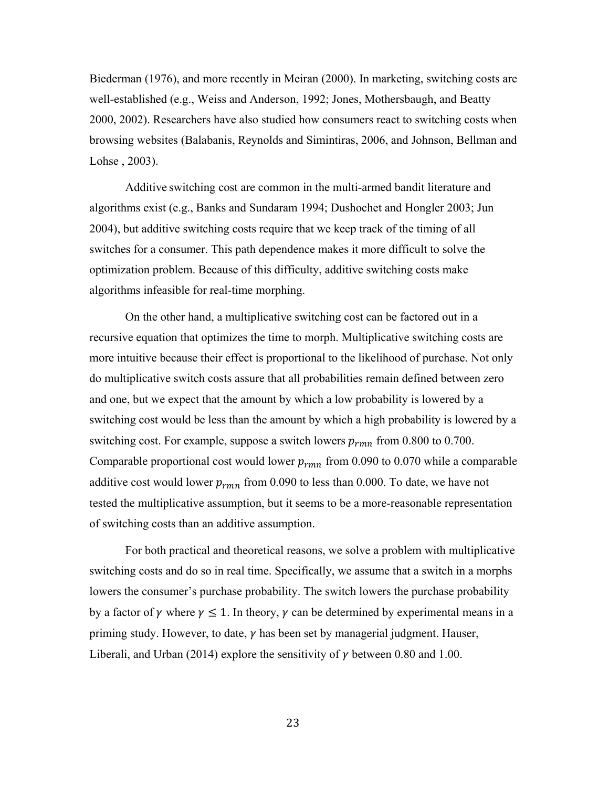Biederman (1976), and more recently in Meiran (2000). In marketing, switching costs are well-established (e.g., Weiss and Anderson, 1992; Jones, Mothersbaugh, and Beatty 2000, 2002). Researchers have also studied how consumers react to switching costs when browsing websites (Balabanis, Reynolds and Simintiras, 2006, and Johnson, Bellman and Lohse , 2003).

Additive switching cost are common in the multi-armed bandit literature and algorithms exist (e.g., Banks and Sundaram 1994; Dushochet and Hongler 2003; Jun 2004), but additive switching costs require that we keep track of the timing of all switches for a consumer. This path dependence makes it more difficult to solve the optimization problem. Because of this difficulty, additive switching costs make algorithms infeasible for real-time morphing.

On the other hand, a multiplicative switching cost can be factored out in a recursive equation that optimizes the time to morph. Multiplicative switching costs are more intuitive because their effect is proportional to the likelihood of purchase. Not only do multiplicative switch costs assure that all probabilities remain defined between zero and one, but we expect that the amount by which a low probability is lowered by a switching cost would be less than the amount by which a high probability is lowered by a switching cost. For example, suppose a switch lowers  $p_{rmn}$  from 0.800 to 0.700. Comparable proportional cost would lower  $p_{rmn}$  from 0.090 to 0.070 while a comparable additive cost would lower  $p_{rmn}$  from 0.090 to less than 0.000. To date, we have not tested the multiplicative assumption, but it seems to be a more-reasonable representation of switching costs than an additive assumption.

For both practical and theoretical reasons, we solve a problem with multiplicative switching costs and do so in real time. Specifically, we assume that a switch in a morphs lowers the consumer's purchase probability. The switch lowers the purchase probability by a factor of  $\gamma$  where  $\gamma \leq 1$ . In theory,  $\gamma$  can be determined by experimental means in a priming study. However, to date,  $\gamma$  has been set by managerial judgment. Hauser, Liberali, and Urban (2014) explore the sensitivity of  $\gamma$  between 0.80 and 1.00.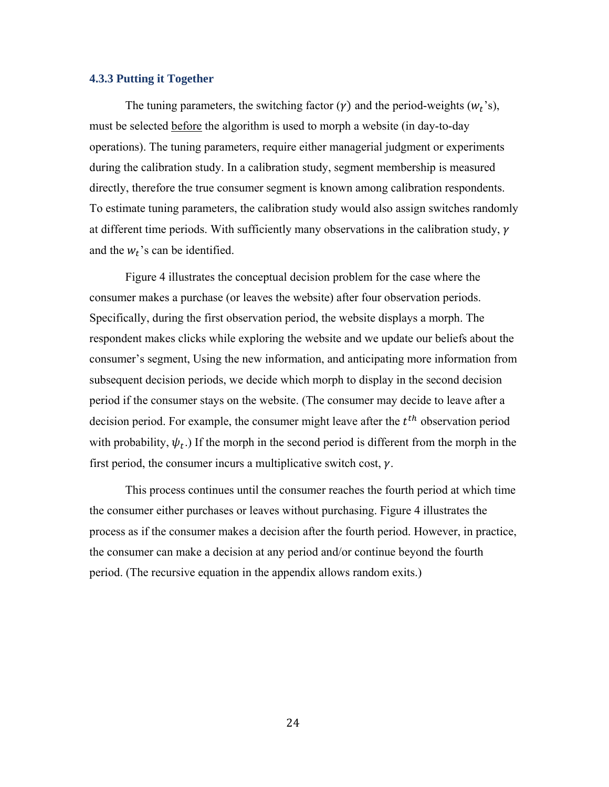#### **4.3.3 Putting it Together**

The tuning parameters, the switching factor  $(\gamma)$  and the period-weights  $(w_t$ 's), must be selected before the algorithm is used to morph a website (in day-to-day operations). The tuning parameters, require either managerial judgment or experiments during the calibration study. In a calibration study, segment membership is measured directly, therefore the true consumer segment is known among calibration respondents. To estimate tuning parameters, the calibration study would also assign switches randomly at different time periods. With sufficiently many observations in the calibration study,  $\gamma$ and the  $w_t$ 's can be identified.

Figure 4 illustrates the conceptual decision problem for the case where the consumer makes a purchase (or leaves the website) after four observation periods. Specifically, during the first observation period, the website displays a morph. The respondent makes clicks while exploring the website and we update our beliefs about the consumer's segment, Using the new information, and anticipating more information from subsequent decision periods, we decide which morph to display in the second decision period if the consumer stays on the website. (The consumer may decide to leave after a decision period. For example, the consumer might leave after the  $t<sup>th</sup>$  observation period with probability,  $\psi_t$ .) If the morph in the second period is different from the morph in the first period, the consumer incurs a multiplicative switch cost,  $\gamma$ .

This process continues until the consumer reaches the fourth period at which time the consumer either purchases or leaves without purchasing. Figure 4 illustrates the process as if the consumer makes a decision after the fourth period. However, in practice, the consumer can make a decision at any period and/or continue beyond the fourth period. (The recursive equation in the appendix allows random exits.)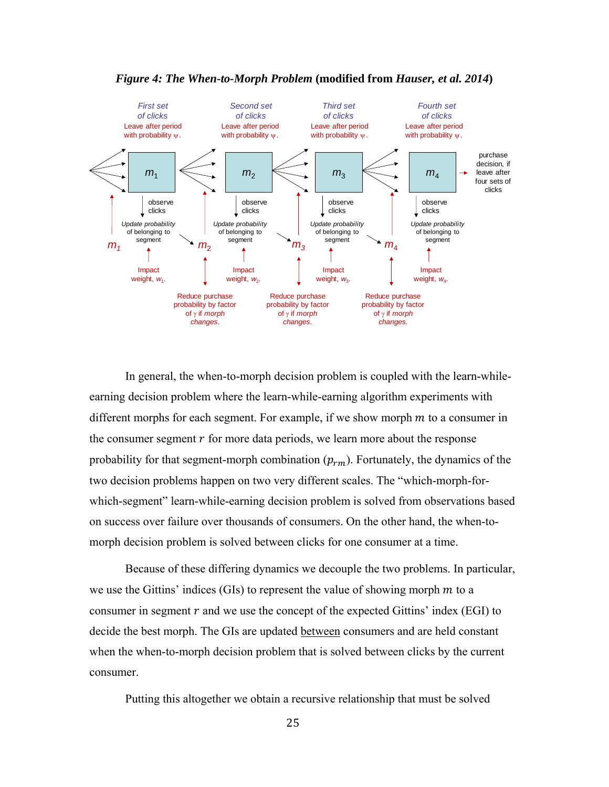

*Figure 4: The When-to-Morph Problem* **(modified from** *Hauser, et al. 2014***)**

In general, the when-to-morph decision problem is coupled with the learn-whileearning decision problem where the learn-while-earning algorithm experiments with different morphs for each segment. For example, if we show morph  $m$  to a consumer in the consumer segment  $r$  for more data periods, we learn more about the response probability for that segment-morph combination  $(p_{rm}$ ). Fortunately, the dynamics of the two decision problems happen on two very different scales. The "which-morph-forwhich-segment" learn-while-earning decision problem is solved from observations based on success over failure over thousands of consumers. On the other hand, the when-tomorph decision problem is solved between clicks for one consumer at a time.

Because of these differing dynamics we decouple the two problems. In particular, we use the Gittins' indices (GIs) to represent the value of showing morph  $m$  to a consumer in segment  $r$  and we use the concept of the expected Gittins' index (EGI) to decide the best morph. The GIs are updated between consumers and are held constant when the when-to-morph decision problem that is solved between clicks by the current consumer.

Putting this altogether we obtain a recursive relationship that must be solved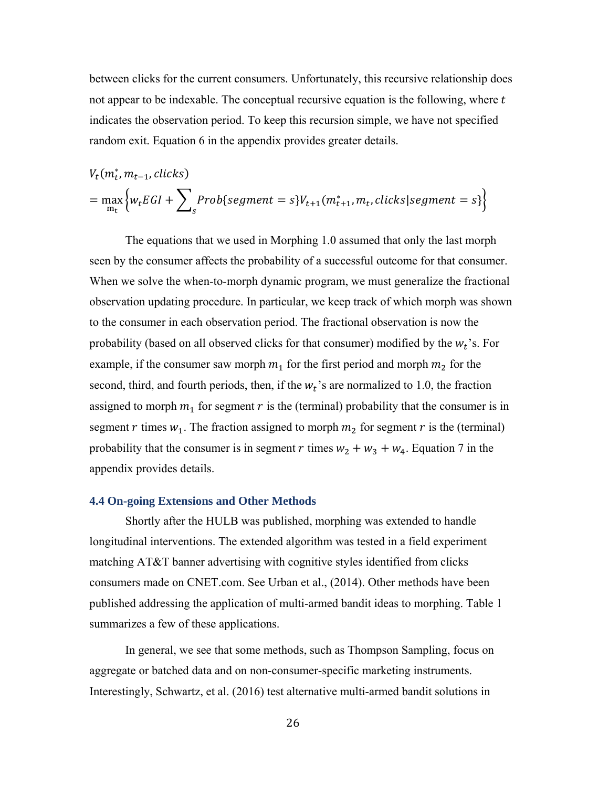between clicks for the current consumers. Unfortunately, this recursive relationship does not appear to be indexable. The conceptual recursive equation is the following, where  $t$ indicates the observation period. To keep this recursion simple, we have not specified random exit. Equation 6 in the appendix provides greater details.

$$
V_t(m_t^*, m_{t-1}, clicks)
$$
  
= 
$$
\max_{m_t} \Big\{ w_t EGI + \sum_s Prob\{segment = s\} V_{t+1}(m_{t+1}^*, m_t, clicks | segment = s) \Big\}
$$

The equations that we used in Morphing 1.0 assumed that only the last morph seen by the consumer affects the probability of a successful outcome for that consumer. When we solve the when-to-morph dynamic program, we must generalize the fractional observation updating procedure. In particular, we keep track of which morph was shown to the consumer in each observation period. The fractional observation is now the probability (based on all observed clicks for that consumer) modified by the  $w_t$ 's. For example, if the consumer saw morph  $m_1$  for the first period and morph  $m_2$  for the second, third, and fourth periods, then, if the  $w_t$ 's are normalized to 1.0, the fraction assigned to morph  $m_1$  for segment  $r$  is the (terminal) probability that the consumer is in segment  $r$  times  $w_1$ . The fraction assigned to morph  $m_2$  for segment  $r$  is the (terminal) probability that the consumer is in segment r times  $w_2 + w_3 + w_4$ . Equation 7 in the appendix provides details.

#### **4.4 On-going Extensions and Other Methods**

Shortly after the HULB was published, morphing was extended to handle longitudinal interventions. The extended algorithm was tested in a field experiment matching AT&T banner advertising with cognitive styles identified from clicks consumers made on CNET.com. See Urban et al., (2014). Other methods have been published addressing the application of multi-armed bandit ideas to morphing. Table 1 summarizes a few of these applications.

In general, we see that some methods, such as Thompson Sampling, focus on aggregate or batched data and on non-consumer-specific marketing instruments. Interestingly, Schwartz, et al. (2016) test alternative multi-armed bandit solutions in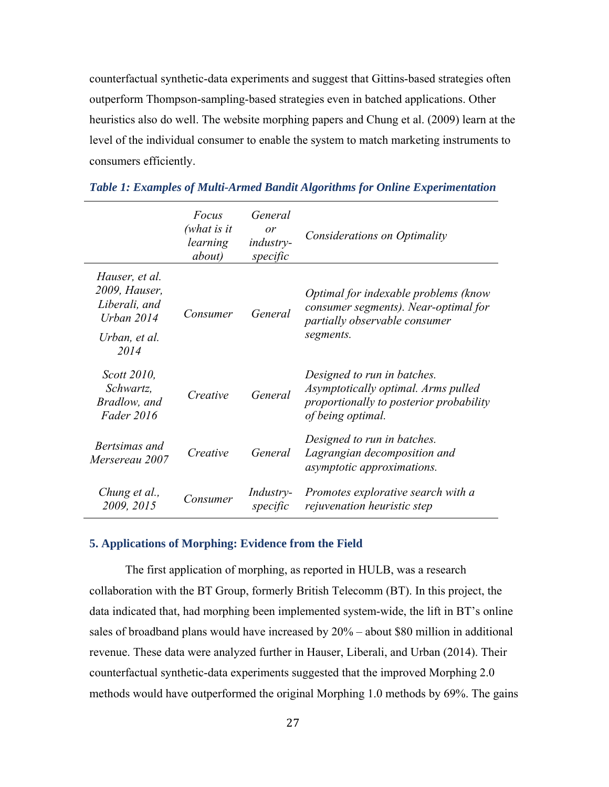counterfactual synthetic-data experiments and suggest that Gittins-based strategies often outperform Thompson-sampling-based strategies even in batched applications. Other heuristics also do well. The website morphing papers and Chung et al. (2009) learn at the level of the individual consumer to enable the system to match marketing instruments to consumers efficiently.

|                                                                                           | Focus<br>(what is it<br>learning<br><i>about</i> ) | General<br>or<br><i>industry-</i><br>specific | Considerations on Optimality                                                                                                       |
|-------------------------------------------------------------------------------------------|----------------------------------------------------|-----------------------------------------------|------------------------------------------------------------------------------------------------------------------------------------|
| Hauser, et al.<br>2009, Hauser,<br>Liberali, and<br>Urban $2014$<br>Urban, et al.<br>2014 | Consumer                                           | General                                       | Optimal for indexable problems (know<br>consumer segments). Near-optimal for<br>partially observable consumer<br>segments.         |
| Scott 2010,<br>Schwartz,<br>Bradlow, and<br>Fader 2016                                    | Creative                                           | General                                       | Designed to run in batches.<br>Asymptotically optimal. Arms pulled<br>proportionally to posterior probability<br>of being optimal. |
| Bertsimas and<br>Mersereau 2007                                                           | Creative                                           | General                                       | Designed to run in batches.<br>Lagrangian decomposition and<br>asymptotic approximations.                                          |
| Chung et al.,<br>2009, 2015                                                               | Consumer                                           | Industry-<br>specific                         | Promotes explorative search with a<br>rejuvenation heuristic step                                                                  |

| Table 1: Examples of Multi-Armed Bandit Algorithms for Online Experimentation |
|-------------------------------------------------------------------------------|
|-------------------------------------------------------------------------------|

## **5. Applications of Morphing: Evidence from the Field**

The first application of morphing, as reported in HULB, was a research collaboration with the BT Group, formerly British Telecomm (BT). In this project, the data indicated that, had morphing been implemented system-wide, the lift in BT's online sales of broadband plans would have increased by 20% – about \$80 million in additional revenue. These data were analyzed further in Hauser, Liberali, and Urban (2014). Their counterfactual synthetic-data experiments suggested that the improved Morphing 2.0 methods would have outperformed the original Morphing 1.0 methods by 69%. The gains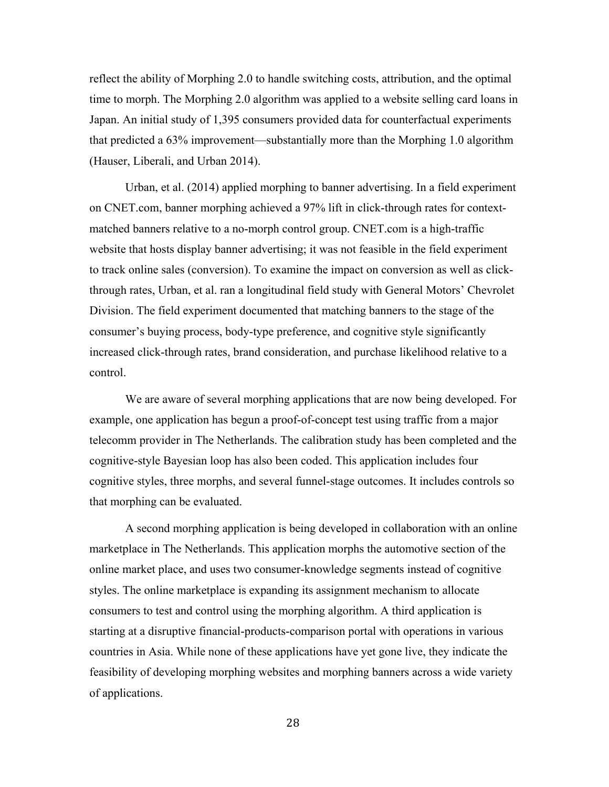reflect the ability of Morphing 2.0 to handle switching costs, attribution, and the optimal time to morph. The Morphing 2.0 algorithm was applied to a website selling card loans in Japan. An initial study of 1,395 consumers provided data for counterfactual experiments that predicted a 63% improvement—substantially more than the Morphing 1.0 algorithm (Hauser, Liberali, and Urban 2014).

Urban, et al. (2014) applied morphing to banner advertising. In a field experiment on CNET.com, banner morphing achieved a 97% lift in click-through rates for contextmatched banners relative to a no-morph control group. CNET.com is a high-traffic website that hosts display banner advertising; it was not feasible in the field experiment to track online sales (conversion). To examine the impact on conversion as well as clickthrough rates, Urban, et al. ran a longitudinal field study with General Motors' Chevrolet Division. The field experiment documented that matching banners to the stage of the consumer's buying process, body-type preference, and cognitive style significantly increased click-through rates, brand consideration, and purchase likelihood relative to a control.

We are aware of several morphing applications that are now being developed. For example, one application has begun a proof-of-concept test using traffic from a major telecomm provider in The Netherlands. The calibration study has been completed and the cognitive-style Bayesian loop has also been coded. This application includes four cognitive styles, three morphs, and several funnel-stage outcomes. It includes controls so that morphing can be evaluated.

A second morphing application is being developed in collaboration with an online marketplace in The Netherlands. This application morphs the automotive section of the online market place, and uses two consumer-knowledge segments instead of cognitive styles. The online marketplace is expanding its assignment mechanism to allocate consumers to test and control using the morphing algorithm. A third application is starting at a disruptive financial-products-comparison portal with operations in various countries in Asia. While none of these applications have yet gone live, they indicate the feasibility of developing morphing websites and morphing banners across a wide variety of applications.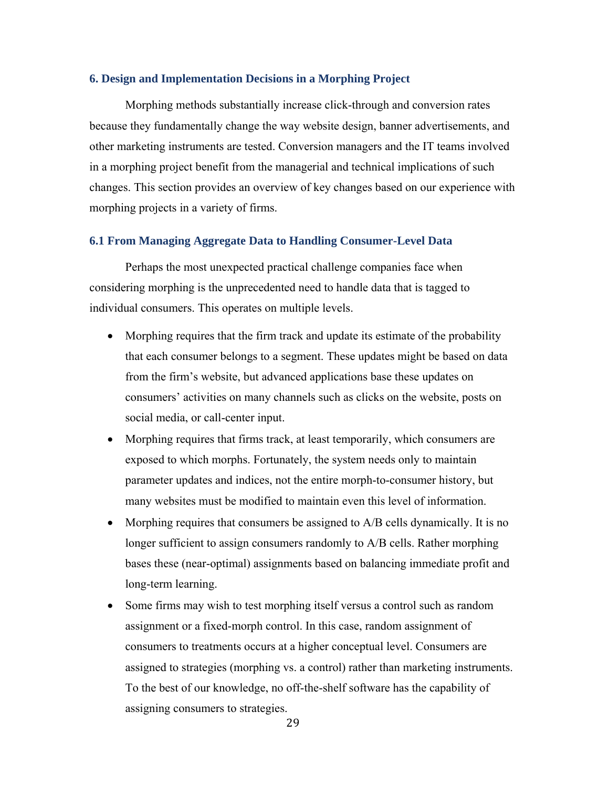#### **6. Design and Implementation Decisions in a Morphing Project**

Morphing methods substantially increase click-through and conversion rates because they fundamentally change the way website design, banner advertisements, and other marketing instruments are tested. Conversion managers and the IT teams involved in a morphing project benefit from the managerial and technical implications of such changes. This section provides an overview of key changes based on our experience with morphing projects in a variety of firms.

#### **6.1 From Managing Aggregate Data to Handling Consumer-Level Data**

Perhaps the most unexpected practical challenge companies face when considering morphing is the unprecedented need to handle data that is tagged to individual consumers. This operates on multiple levels.

- Morphing requires that the firm track and update its estimate of the probability that each consumer belongs to a segment. These updates might be based on data from the firm's website, but advanced applications base these updates on consumers' activities on many channels such as clicks on the website, posts on social media, or call-center input.
- Morphing requires that firms track, at least temporarily, which consumers are exposed to which morphs. Fortunately, the system needs only to maintain parameter updates and indices, not the entire morph-to-consumer history, but many websites must be modified to maintain even this level of information.
- Morphing requires that consumers be assigned to A/B cells dynamically. It is no longer sufficient to assign consumers randomly to A/B cells. Rather morphing bases these (near-optimal) assignments based on balancing immediate profit and long-term learning.
- Some firms may wish to test morphing itself versus a control such as random assignment or a fixed-morph control. In this case, random assignment of consumers to treatments occurs at a higher conceptual level. Consumers are assigned to strategies (morphing vs. a control) rather than marketing instruments. To the best of our knowledge, no off-the-shelf software has the capability of assigning consumers to strategies.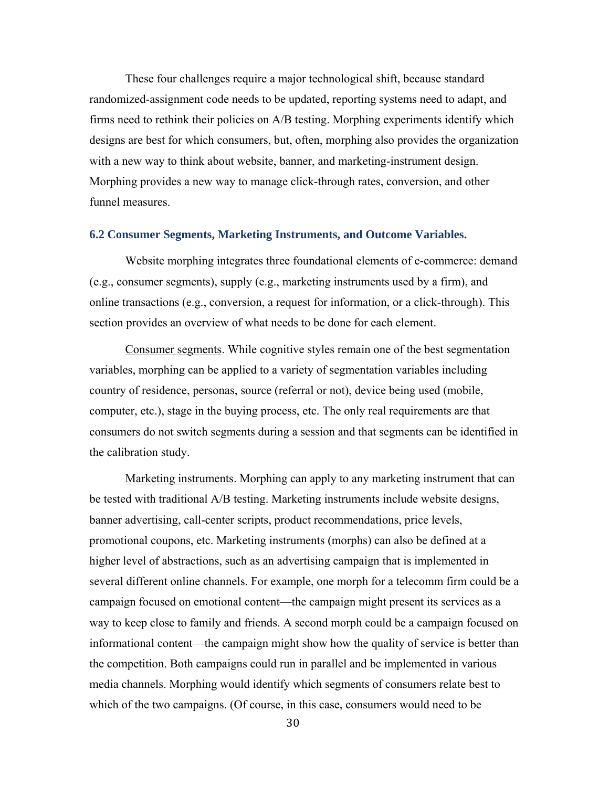These four challenges require a major technological shift, because standard randomized-assignment code needs to be updated, reporting systems need to adapt, and firms need to rethink their policies on A/B testing. Morphing experiments identify which designs are best for which consumers, but, often, morphing also provides the organization with a new way to think about website, banner, and marketing-instrument design. Morphing provides a new way to manage click-through rates, conversion, and other funnel measures.

#### **6.2 Consumer Segments, Marketing Instruments, and Outcome Variables.**

Website morphing integrates three foundational elements of e-commerce: demand (e.g., consumer segments), supply (e.g., marketing instruments used by a firm), and online transactions (e.g., conversion, a request for information, or a click-through). This section provides an overview of what needs to be done for each element.

Consumer segments. While cognitive styles remain one of the best segmentation variables, morphing can be applied to a variety of segmentation variables including country of residence, personas, source (referral or not), device being used (mobile, computer, etc.), stage in the buying process, etc. The only real requirements are that consumers do not switch segments during a session and that segments can be identified in the calibration study.

Marketing instruments. Morphing can apply to any marketing instrument that can be tested with traditional A/B testing. Marketing instruments include website designs, banner advertising, call-center scripts, product recommendations, price levels, promotional coupons, etc. Marketing instruments (morphs) can also be defined at a higher level of abstractions, such as an advertising campaign that is implemented in several different online channels. For example, one morph for a telecomm firm could be a campaign focused on emotional content—the campaign might present its services as a way to keep close to family and friends. A second morph could be a campaign focused on informational content—the campaign might show how the quality of service is better than the competition. Both campaigns could run in parallel and be implemented in various media channels. Morphing would identify which segments of consumers relate best to which of the two campaigns. (Of course, in this case, consumers would need to be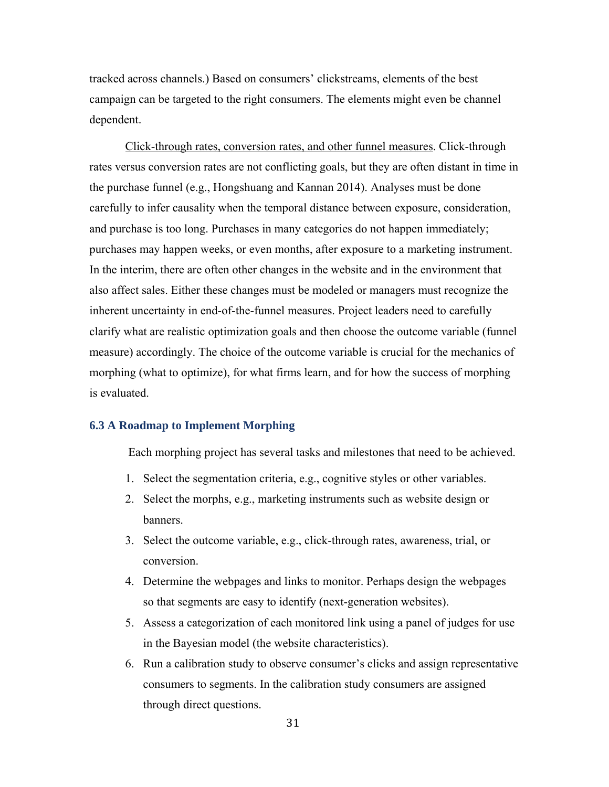tracked across channels.) Based on consumers' clickstreams, elements of the best campaign can be targeted to the right consumers. The elements might even be channel dependent.

Click-through rates, conversion rates, and other funnel measures. Click-through rates versus conversion rates are not conflicting goals, but they are often distant in time in the purchase funnel (e.g., Hongshuang and Kannan 2014). Analyses must be done carefully to infer causality when the temporal distance between exposure, consideration, and purchase is too long. Purchases in many categories do not happen immediately; purchases may happen weeks, or even months, after exposure to a marketing instrument. In the interim, there are often other changes in the website and in the environment that also affect sales. Either these changes must be modeled or managers must recognize the inherent uncertainty in end-of-the-funnel measures. Project leaders need to carefully clarify what are realistic optimization goals and then choose the outcome variable (funnel measure) accordingly. The choice of the outcome variable is crucial for the mechanics of morphing (what to optimize), for what firms learn, and for how the success of morphing is evaluated.

## **6.3 A Roadmap to Implement Morphing**

Each morphing project has several tasks and milestones that need to be achieved.

- 1. Select the segmentation criteria, e.g., cognitive styles or other variables.
- 2. Select the morphs, e.g., marketing instruments such as website design or banners.
- 3. Select the outcome variable, e.g., click-through rates, awareness, trial, or conversion.
- 4. Determine the webpages and links to monitor. Perhaps design the webpages so that segments are easy to identify (next-generation websites).
- 5. Assess a categorization of each monitored link using a panel of judges for use in the Bayesian model (the website characteristics).
- 6. Run a calibration study to observe consumer's clicks and assign representative consumers to segments. In the calibration study consumers are assigned through direct questions.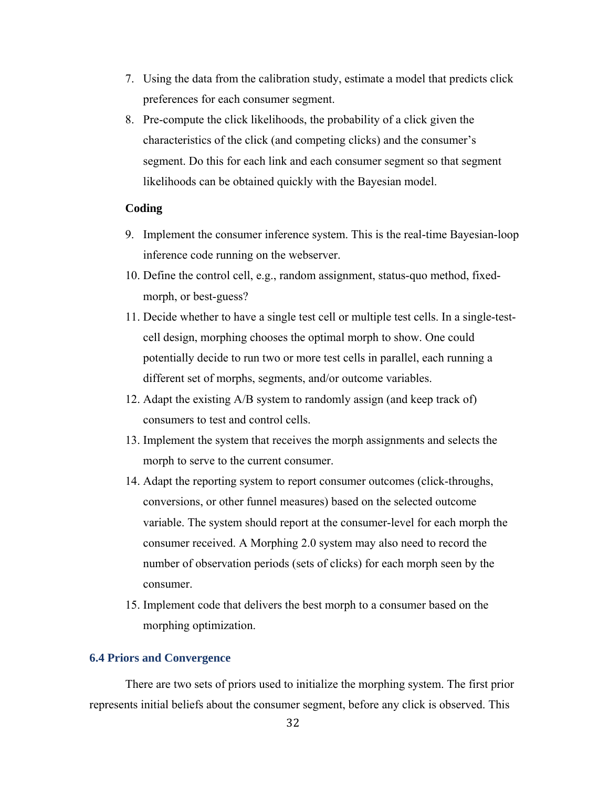- 7. Using the data from the calibration study, estimate a model that predicts click preferences for each consumer segment.
- 8. Pre-compute the click likelihoods, the probability of a click given the characteristics of the click (and competing clicks) and the consumer's segment. Do this for each link and each consumer segment so that segment likelihoods can be obtained quickly with the Bayesian model.

# **Coding**

- 9. Implement the consumer inference system. This is the real-time Bayesian-loop inference code running on the webserver.
- 10. Define the control cell, e.g., random assignment, status-quo method, fixedmorph, or best-guess?
- 11. Decide whether to have a single test cell or multiple test cells. In a single-testcell design, morphing chooses the optimal morph to show. One could potentially decide to run two or more test cells in parallel, each running a different set of morphs, segments, and/or outcome variables.
- 12. Adapt the existing A/B system to randomly assign (and keep track of) consumers to test and control cells.
- 13. Implement the system that receives the morph assignments and selects the morph to serve to the current consumer.
- 14. Adapt the reporting system to report consumer outcomes (click-throughs, conversions, or other funnel measures) based on the selected outcome variable. The system should report at the consumer-level for each morph the consumer received. A Morphing 2.0 system may also need to record the number of observation periods (sets of clicks) for each morph seen by the consumer.
- 15. Implement code that delivers the best morph to a consumer based on the morphing optimization.

# **6.4 Priors and Convergence**

There are two sets of priors used to initialize the morphing system. The first prior represents initial beliefs about the consumer segment, before any click is observed. This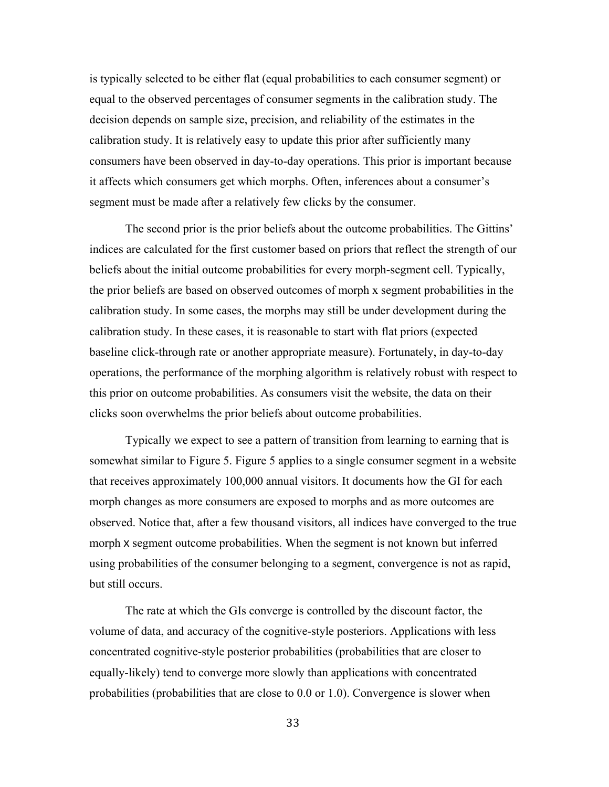is typically selected to be either flat (equal probabilities to each consumer segment) or equal to the observed percentages of consumer segments in the calibration study. The decision depends on sample size, precision, and reliability of the estimates in the calibration study. It is relatively easy to update this prior after sufficiently many consumers have been observed in day-to-day operations. This prior is important because it affects which consumers get which morphs. Often, inferences about a consumer's segment must be made after a relatively few clicks by the consumer.

The second prior is the prior beliefs about the outcome probabilities. The Gittins' indices are calculated for the first customer based on priors that reflect the strength of our beliefs about the initial outcome probabilities for every morph-segment cell. Typically, the prior beliefs are based on observed outcomes of morph x segment probabilities in the calibration study. In some cases, the morphs may still be under development during the calibration study. In these cases, it is reasonable to start with flat priors (expected baseline click-through rate or another appropriate measure). Fortunately, in day-to-day operations, the performance of the morphing algorithm is relatively robust with respect to this prior on outcome probabilities. As consumers visit the website, the data on their clicks soon overwhelms the prior beliefs about outcome probabilities.

Typically we expect to see a pattern of transition from learning to earning that is somewhat similar to Figure 5. Figure 5 applies to a single consumer segment in a website that receives approximately 100,000 annual visitors. It documents how the GI for each morph changes as more consumers are exposed to morphs and as more outcomes are observed. Notice that, after a few thousand visitors, all indices have converged to the true morph x segment outcome probabilities. When the segment is not known but inferred using probabilities of the consumer belonging to a segment, convergence is not as rapid, but still occurs.

The rate at which the GIs converge is controlled by the discount factor, the volume of data, and accuracy of the cognitive-style posteriors. Applications with less concentrated cognitive-style posterior probabilities (probabilities that are closer to equally-likely) tend to converge more slowly than applications with concentrated probabilities (probabilities that are close to 0.0 or 1.0). Convergence is slower when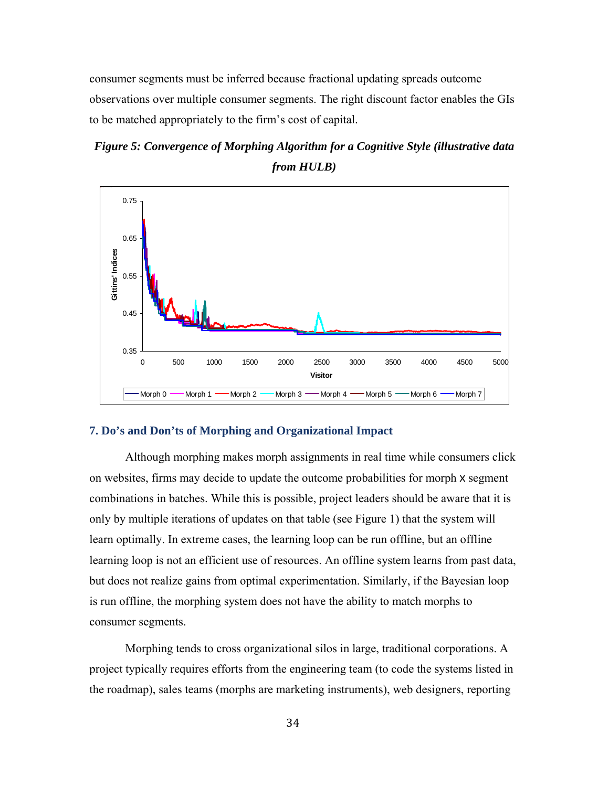consumer segments must be inferred because fractional updating spreads outcome observations over multiple consumer segments. The right discount factor enables the GIs to be matched appropriately to the firm's cost of capital.





#### **7. Do's and Don'ts of Morphing and Organizational Impact**

Although morphing makes morph assignments in real time while consumers click on websites, firms may decide to update the outcome probabilities for morph x segment combinations in batches. While this is possible, project leaders should be aware that it is only by multiple iterations of updates on that table (see Figure 1) that the system will learn optimally. In extreme cases, the learning loop can be run offline, but an offline learning loop is not an efficient use of resources. An offline system learns from past data, but does not realize gains from optimal experimentation. Similarly, if the Bayesian loop is run offline, the morphing system does not have the ability to match morphs to consumer segments.

Morphing tends to cross organizational silos in large, traditional corporations. A project typically requires efforts from the engineering team (to code the systems listed in the roadmap), sales teams (morphs are marketing instruments), web designers, reporting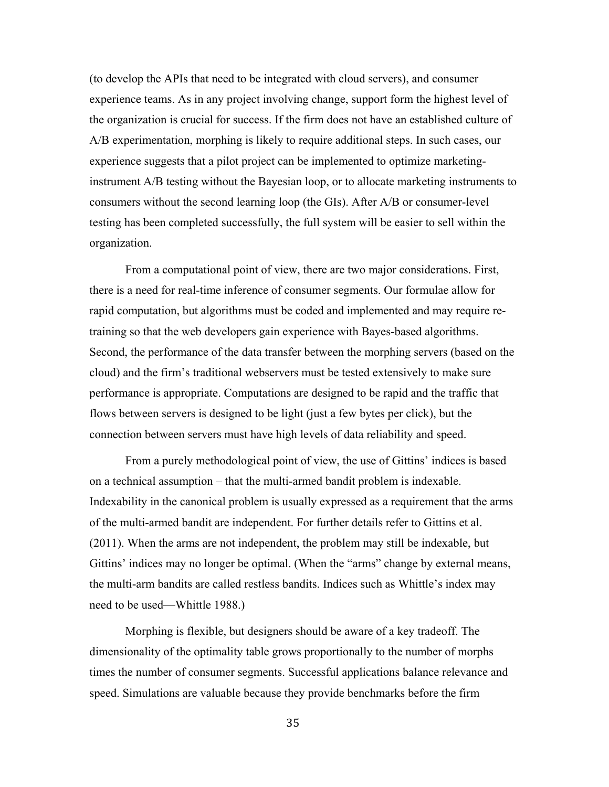(to develop the APIs that need to be integrated with cloud servers), and consumer experience teams. As in any project involving change, support form the highest level of the organization is crucial for success. If the firm does not have an established culture of A/B experimentation, morphing is likely to require additional steps. In such cases, our experience suggests that a pilot project can be implemented to optimize marketinginstrument A/B testing without the Bayesian loop, or to allocate marketing instruments to consumers without the second learning loop (the GIs). After A/B or consumer-level testing has been completed successfully, the full system will be easier to sell within the organization.

From a computational point of view, there are two major considerations. First, there is a need for real-time inference of consumer segments. Our formulae allow for rapid computation, but algorithms must be coded and implemented and may require retraining so that the web developers gain experience with Bayes-based algorithms. Second, the performance of the data transfer between the morphing servers (based on the cloud) and the firm's traditional webservers must be tested extensively to make sure performance is appropriate. Computations are designed to be rapid and the traffic that flows between servers is designed to be light (just a few bytes per click), but the connection between servers must have high levels of data reliability and speed.

From a purely methodological point of view, the use of Gittins' indices is based on a technical assumption – that the multi-armed bandit problem is indexable. Indexability in the canonical problem is usually expressed as a requirement that the arms of the multi-armed bandit are independent. For further details refer to Gittins et al. (2011). When the arms are not independent, the problem may still be indexable, but Gittins' indices may no longer be optimal. (When the "arms" change by external means, the multi-arm bandits are called restless bandits. Indices such as Whittle's index may need to be used—Whittle 1988.)

Morphing is flexible, but designers should be aware of a key tradeoff. The dimensionality of the optimality table grows proportionally to the number of morphs times the number of consumer segments. Successful applications balance relevance and speed. Simulations are valuable because they provide benchmarks before the firm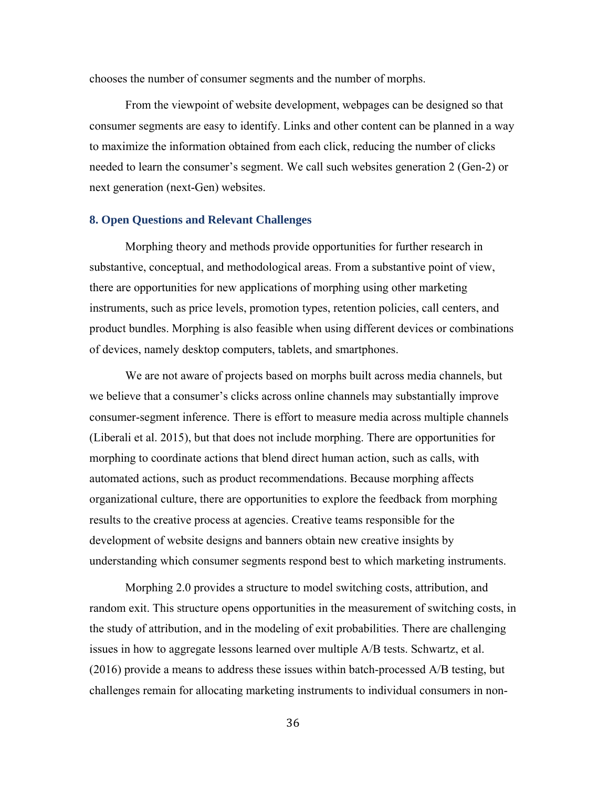chooses the number of consumer segments and the number of morphs.

From the viewpoint of website development, webpages can be designed so that consumer segments are easy to identify. Links and other content can be planned in a way to maximize the information obtained from each click, reducing the number of clicks needed to learn the consumer's segment. We call such websites generation 2 (Gen-2) or next generation (next-Gen) websites.

#### **8. Open Questions and Relevant Challenges**

Morphing theory and methods provide opportunities for further research in substantive, conceptual, and methodological areas. From a substantive point of view, there are opportunities for new applications of morphing using other marketing instruments, such as price levels, promotion types, retention policies, call centers, and product bundles. Morphing is also feasible when using different devices or combinations of devices, namely desktop computers, tablets, and smartphones.

We are not aware of projects based on morphs built across media channels, but we believe that a consumer's clicks across online channels may substantially improve consumer-segment inference. There is effort to measure media across multiple channels (Liberali et al. 2015), but that does not include morphing. There are opportunities for morphing to coordinate actions that blend direct human action, such as calls, with automated actions, such as product recommendations. Because morphing affects organizational culture, there are opportunities to explore the feedback from morphing results to the creative process at agencies. Creative teams responsible for the development of website designs and banners obtain new creative insights by understanding which consumer segments respond best to which marketing instruments.

Morphing 2.0 provides a structure to model switching costs, attribution, and random exit. This structure opens opportunities in the measurement of switching costs, in the study of attribution, and in the modeling of exit probabilities. There are challenging issues in how to aggregate lessons learned over multiple A/B tests. Schwartz, et al. (2016) provide a means to address these issues within batch-processed A/B testing, but challenges remain for allocating marketing instruments to individual consumers in non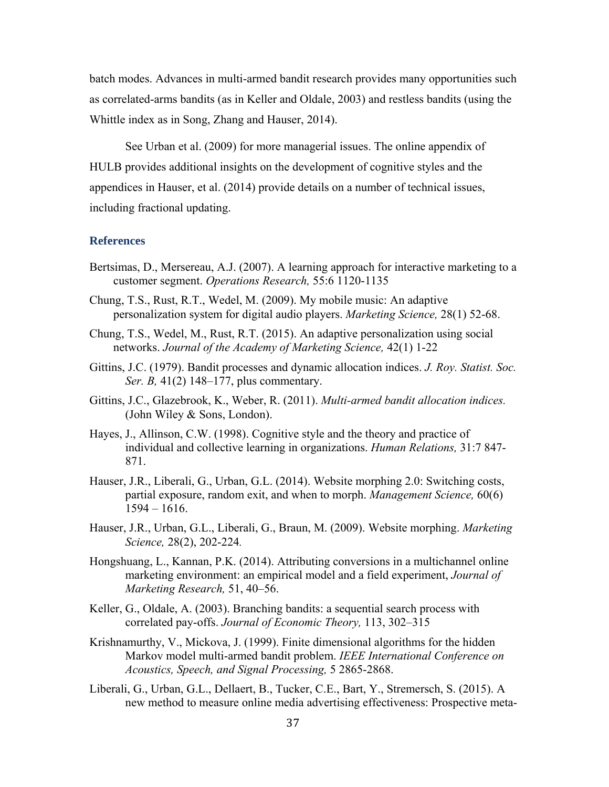batch modes. Advances in multi-armed bandit research provides many opportunities such as correlated-arms bandits (as in Keller and Oldale, 2003) and restless bandits (using the Whittle index as in Song, Zhang and Hauser, 2014).

See Urban et al. (2009) for more managerial issues. The online appendix of HULB provides additional insights on the development of cognitive styles and the appendices in Hauser, et al. (2014) provide details on a number of technical issues, including fractional updating.

## **References**

- Bertsimas, D., Mersereau, A.J. (2007). A learning approach for interactive marketing to a customer segment. *Operations Research,* 55:6 1120-1135
- Chung, T.S., Rust, R.T., Wedel, M. (2009). My mobile music: An adaptive personalization system for digital audio players. *Marketing Science,* 28(1) 52-68.
- Chung, T.S., Wedel, M., Rust, R.T. (2015). An adaptive personalization using social networks. *Journal of the Academy of Marketing Science,* 42(1) 1-22
- Gittins, J.C. (1979). Bandit processes and dynamic allocation indices. *J. Roy. Statist. Soc. Ser. B,* 41(2) 148–177, plus commentary.
- Gittins, J.C., Glazebrook, K., Weber, R. (2011). *Multi-armed bandit allocation indices.* (John Wiley & Sons, London).
- Hayes, J., Allinson, C.W. (1998). Cognitive style and the theory and practice of individual and collective learning in organizations. *Human Relations,* 31:7 847- 871.
- Hauser, J.R., Liberali, G., Urban, G.L. (2014). Website morphing 2.0: Switching costs, partial exposure, random exit, and when to morph. *Management Science,* 60(6) 1594 – 1616.
- Hauser, J.R., Urban, G.L., Liberali, G., Braun, M. (2009). Website morphing. *Marketing Science,* 28(2), 202-224*.*
- Hongshuang, L., Kannan, P.K. (2014). Attributing conversions in a multichannel online marketing environment: an empirical model and a field experiment, *Journal of Marketing Research,* 51, 40–56.
- Keller, G., Oldale, A. (2003). Branching bandits: a sequential search process with correlated pay-offs. *Journal of Economic Theory,* 113, 302–315
- Krishnamurthy, V., Mickova, J. (1999). Finite dimensional algorithms for the hidden Markov model multi-armed bandit problem. *IEEE International Conference on Acoustics, Speech, and Signal Processing,* 5 2865-2868.
- Liberali, G., Urban, G.L., Dellaert, B., Tucker, C.E., Bart, Y., Stremersch, S. (2015). A new method to measure online media advertising effectiveness: Prospective meta-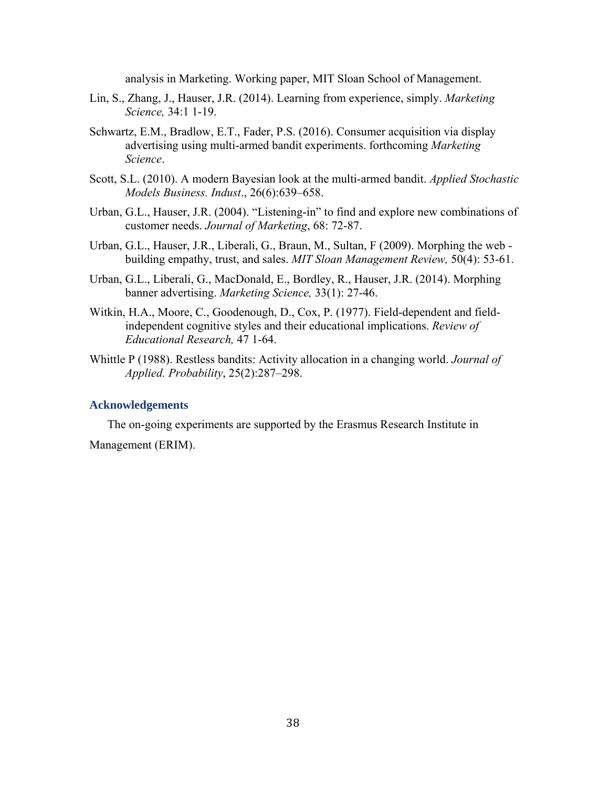analysis in Marketing. Working paper, MIT Sloan School of Management.

- Lin, S., Zhang, J., Hauser, J.R. (2014). Learning from experience, simply. *Marketing Science,* 34:1 1-19.
- Schwartz, E.M., Bradlow, E.T., Fader, P.S. (2016). Consumer acquisition via display advertising using multi-armed bandit experiments. forthcoming *Marketing Science*.
- Scott, S.L. (2010). A modern Bayesian look at the multi-armed bandit. *Applied Stochastic Models Business. Indust*., 26(6):639–658.
- Urban, G.L., Hauser, J.R. (2004). "Listening-in" to find and explore new combinations of customer needs. *Journal of Marketing*, 68: 72-87.
- Urban, G.L., Hauser, J.R., Liberali, G., Braun, M., Sultan, F (2009). Morphing the web building empathy, trust, and sales. *MIT Sloan Management Review,* 50(4): 53-61.
- Urban, G.L., Liberali, G., MacDonald, E., Bordley, R., Hauser, J.R. (2014). Morphing banner advertising. *Marketing Science,* 33(1): 27-46.
- Witkin, H.A., Moore, C., Goodenough, D., Cox, P. (1977). Field-dependent and fieldindependent cognitive styles and their educational implications. *Review of Educational Research,* 47 1-64.
- Whittle P (1988). Restless bandits: Activity allocation in a changing world. *Journal of Applied. Probability*, 25(2):287–298.

#### **Acknowledgements**

The on-going experiments are supported by the Erasmus Research Institute in Management (ERIM).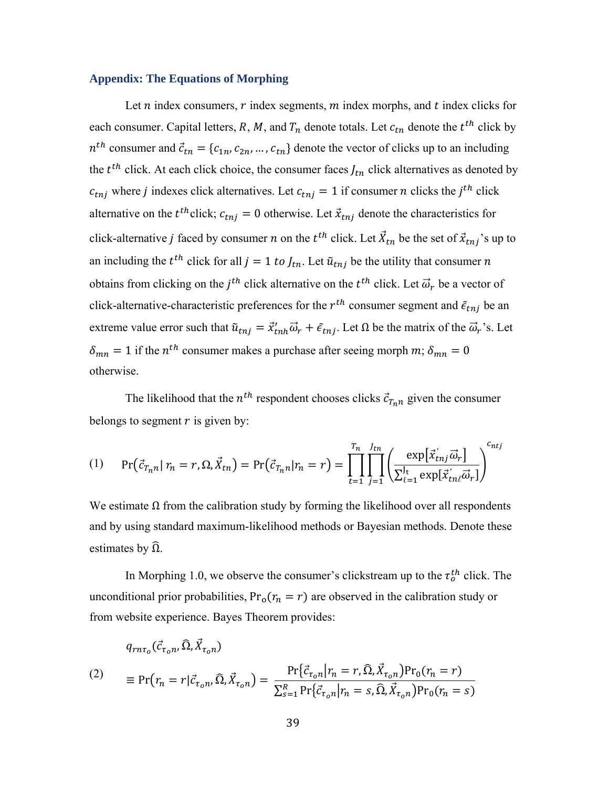## **Appendix: The Equations of Morphing**

Let *n* index consumers,  $r$  index segments,  $m$  index morphs, and  $t$  index clicks for each consumer. Capital letters, R, M, and  $T_n$  denote totals. Let  $c_{tn}$  denote the  $t^{th}$  click by  $n^{th}$  consumer and  $\vec{c}_{tn} = \{c_{1n}, c_{2n}, \dots, c_{tn}\}\$  denote the vector of clicks up to an including the  $t^{th}$  click. At each click choice, the consumer faces  $J_{tn}$  click alternatives as denoted by  $c_{tnj}$  where *j* indexes click alternatives. Let  $c_{tnj} = 1$  if consumer *n* clicks the *j*<sup>th</sup> click alternative on the  $t^{th}$ click;  $c_{tnj} = 0$  otherwise. Let  $\vec{x}_{tnj}$  denote the characteristics for click-alternative *j* faced by consumer *n* on the  $t^{th}$  click. Let  $\vec{X}_{tn}$  be the set of  $\vec{X}_{tnj}$ 's up to an including the  $t^{th}$  click for all  $j = 1$  to  $J_{tn}$ . Let  $\tilde{u}_{tnj}$  be the utility that consumer n obtains from clicking on the  $i^{th}$  click alternative on the  $t^{th}$  click. Let  $\vec{\omega}_r$  be a vector of click-alternative-characteristic preferences for the  $r^{th}$  consumer segment and  $\tilde{\epsilon}_{tnj}$  be an extreme value error such that  $\tilde{u}_{tnj} = \vec{x}_{tnh}' \vec{\omega}_r + \tilde{\epsilon}_{tnj}$ . Let  $\Omega$  be the matrix of the  $\vec{\omega}_r$ 's. Let  $\delta_{mn} = 1$  if the  $n^{th}$  consumer makes a purchase after seeing morph m;  $\delta_{mn} = 0$ otherwise.

The likelihood that the  $n^{th}$  respondent chooses clicks  $\vec{c}_{T_n n}$  given the consumer belongs to segment  $r$  is given by:

$$
(1) \qquad \Pr(\vec{c}_{T_n n} | r_n = r, \Omega, \vec{X}_{tn}) = \Pr(\vec{c}_{T_n n} | r_n = r) = \prod_{t=1}^{T_n} \prod_{j=1}^{J_{tn}} \left( \frac{\exp[\vec{x}_{tnj} \vec{\omega}_r]}{\sum_{\ell=1}^{\text{It}} \exp[\vec{x}_{tn\ell} \vec{\omega}_r]} \right)^{c_{ntj}}
$$

We estimate  $\Omega$  from the calibration study by forming the likelihood over all respondents and by using standard maximum-likelihood methods or Bayesian methods. Denote these estimates by  $\Omega$ .

In Morphing 1.0, we observe the consumer's clickstream up to the  $\tau_o^{th}$  click. The unconditional prior probabilities,  $Pr_0(r_n = r)$  are observed in the calibration study or from website experience. Bayes Theorem provides:

$$
q_{rn\tau_{0}}(\vec{c}_{\tau_{0}n}, \hat{\Omega}, \vec{X}_{\tau_{0}n})
$$
  
(2) 
$$
\equiv \Pr(r_{n} = r | \vec{c}_{\tau_{0}n}, \hat{\Omega}, \vec{X}_{\tau_{0}n}) = \frac{\Pr\{\vec{c}_{\tau_{0}n} | r_{n} = r, \hat{\Omega}, \vec{X}_{\tau_{0}n}\} \Pr_{0}(r_{n} = r)}{\sum_{s=1}^{R} \Pr\{\vec{c}_{\tau_{0}n} | r_{n} = s, \hat{\Omega}, \vec{X}_{\tau_{0}n}\} \Pr_{0}(r_{n} = s)}
$$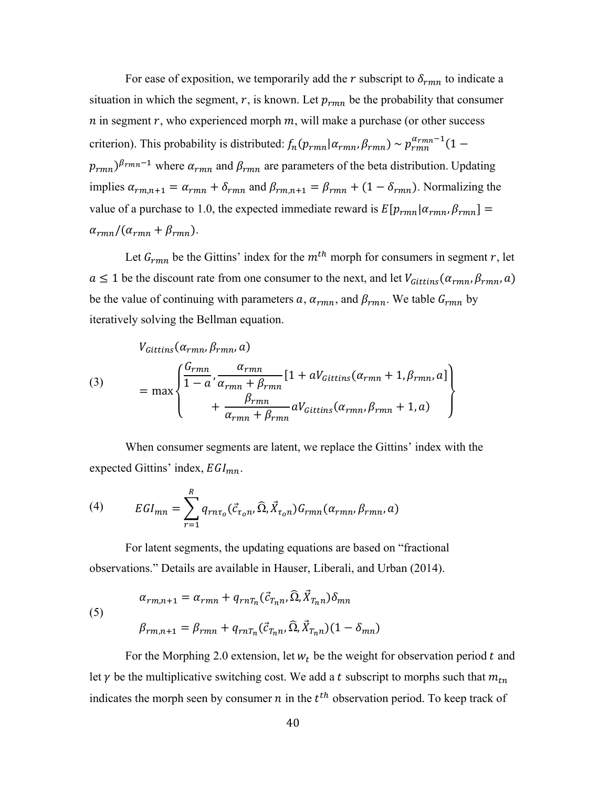For ease of exposition, we temporarily add the r subscript to  $\delta_{rmn}$  to indicate a situation in which the segment,  $r$ , is known. Let  $p_{rm}$  be the probability that consumer  $n$  in segment  $r$ , who experienced morph  $m$ , will make a purchase (or other success criterion). This probability is distributed:  $f_n(p_{rmn}|\alpha_{rmn}, \beta_{rmn}) \sim p_{rmn}^{\alpha_{rmn}-1}(1-\alpha_{rmn})$  $p_{rmn}$ <sup> $\beta_{rmn}$ –1 where  $\alpha_{rmn}$  and  $\beta_{rmn}$  are parameters of the beta distribution. Updating</sup> implies  $\alpha_{rm,n+1} = \alpha_{rm,n} + \delta_{rm,n}$  and  $\beta_{rm,n+1} = \beta_{rm,n} + (1 - \delta_{rm,n})$ . Normalizing the value of a purchase to 1.0, the expected immediate reward is  $E[p_{rmn}|\alpha_{rmn}, \beta_{rmn}] =$  $\alpha_{rmn}/(\alpha_{rmn}+\beta_{rmn}).$ 

Let  $G_{rmn}$  be the Gittins' index for the  $m^{th}$  morph for consumers in segment r, let  $a \le 1$  be the discount rate from one consumer to the next, and let  $V_{Gittins}(\alpha_{rmn}, \beta_{rmn}, a)$ be the value of continuing with parameters  $a, \alpha_{rmn}$ , and  $\beta_{rmn}$ . We table  $G_{rmn}$  by iteratively solving the Bellman equation.

(3)  

$$
V_{Gittins}(\alpha_{rmn}, \beta_{rmn}, a)
$$
  

$$
= \max \left\{ \frac{G_{rmn}}{1 - a}, \frac{\alpha_{rmn}}{\alpha_{rmn} + \beta_{rmn}} [1 + aV_{Gittins}(\alpha_{rmn} + 1, \beta_{rmn}, a)] + \frac{\beta_{rmn}}{\alpha_{rmn} + \beta_{rmn}} aV_{Gittins}(\alpha_{rmn}, \beta_{rmn} + 1, a) \right\}
$$

When consumer segments are latent, we replace the Gittins' index with the expected Gittins' index,  $EGI_{mn}$ .

(4) 
$$
EGI_{mn} = \sum_{r=1}^{R} q_{rn\tau_o} (\vec{c}_{\tau_o n}, \widehat{\Omega}, \vec{X}_{\tau_o n}) G_{rmn}(\alpha_{rmn}, \beta_{rmn}, a)
$$

For latent segments, the updating equations are based on "fractional observations." Details are available in Hauser, Liberali, and Urban (2014).

(5)  
\n
$$
\alpha_{rm,n+1} = \alpha_{rmn} + q_{rnT_n} (\vec{c}_{T_n n}, \hat{\Omega}, \vec{X}_{T_n n}) \delta_{mn}
$$
\n
$$
\beta_{rm,n+1} = \beta_{rmn} + q_{rnT_n} (\vec{c}_{T_n n}, \hat{\Omega}, \vec{X}_{T_n n}) (1 - \delta_{mn})
$$

For the Morphing 2.0 extension, let  $w_t$  be the weight for observation period t and let  $\gamma$  be the multiplicative switching cost. We add a t subscript to morphs such that  $m_{tn}$ indicates the morph seen by consumer  $n$  in the  $t<sup>th</sup>$  observation period. To keep track of